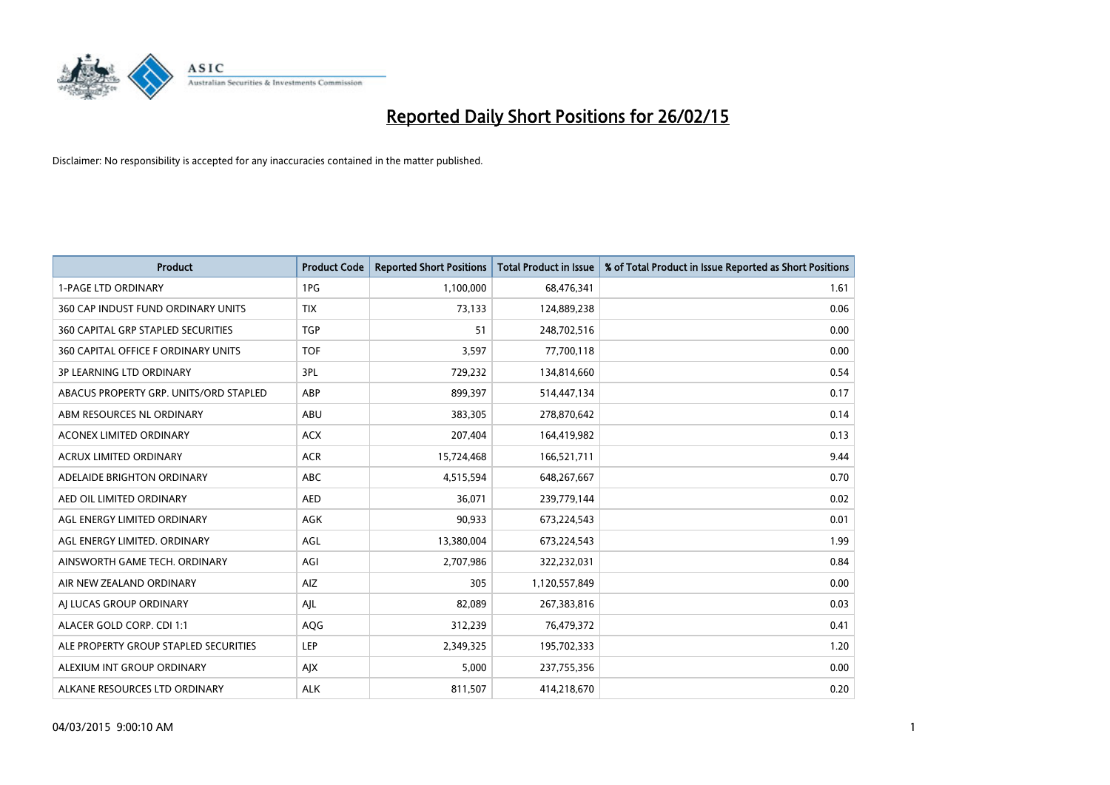

| <b>Product</b>                            | <b>Product Code</b> | <b>Reported Short Positions</b> | <b>Total Product in Issue</b> | % of Total Product in Issue Reported as Short Positions |
|-------------------------------------------|---------------------|---------------------------------|-------------------------------|---------------------------------------------------------|
| <b>1-PAGE LTD ORDINARY</b>                | 1PG                 | 1,100,000                       | 68,476,341                    | 1.61                                                    |
| 360 CAP INDUST FUND ORDINARY UNITS        | <b>TIX</b>          | 73,133                          | 124,889,238                   | 0.06                                                    |
| <b>360 CAPITAL GRP STAPLED SECURITIES</b> | <b>TGP</b>          | 51                              | 248,702,516                   | 0.00                                                    |
| 360 CAPITAL OFFICE F ORDINARY UNITS       | <b>TOF</b>          | 3,597                           | 77,700,118                    | 0.00                                                    |
| <b>3P LEARNING LTD ORDINARY</b>           | 3PL                 | 729,232                         | 134,814,660                   | 0.54                                                    |
| ABACUS PROPERTY GRP. UNITS/ORD STAPLED    | ABP                 | 899,397                         | 514,447,134                   | 0.17                                                    |
| ABM RESOURCES NL ORDINARY                 | ABU                 | 383,305                         | 278,870,642                   | 0.14                                                    |
| ACONEX LIMITED ORDINARY                   | <b>ACX</b>          | 207,404                         | 164,419,982                   | 0.13                                                    |
| ACRUX LIMITED ORDINARY                    | <b>ACR</b>          | 15,724,468                      | 166,521,711                   | 9.44                                                    |
| ADELAIDE BRIGHTON ORDINARY                | <b>ABC</b>          | 4,515,594                       | 648,267,667                   | 0.70                                                    |
| AED OIL LIMITED ORDINARY                  | <b>AED</b>          | 36,071                          | 239,779,144                   | 0.02                                                    |
| AGL ENERGY LIMITED ORDINARY               | AGK                 | 90,933                          | 673,224,543                   | 0.01                                                    |
| AGL ENERGY LIMITED. ORDINARY              | AGL                 | 13,380,004                      | 673,224,543                   | 1.99                                                    |
| AINSWORTH GAME TECH. ORDINARY             | AGI                 | 2,707,986                       | 322,232,031                   | 0.84                                                    |
| AIR NEW ZEALAND ORDINARY                  | AIZ                 | 305                             | 1,120,557,849                 | 0.00                                                    |
| AI LUCAS GROUP ORDINARY                   | AJL                 | 82,089                          | 267,383,816                   | 0.03                                                    |
| ALACER GOLD CORP. CDI 1:1                 | AQG                 | 312,239                         | 76,479,372                    | 0.41                                                    |
| ALE PROPERTY GROUP STAPLED SECURITIES     | <b>LEP</b>          | 2,349,325                       | 195,702,333                   | 1.20                                                    |
| ALEXIUM INT GROUP ORDINARY                | AJX                 | 5,000                           | 237,755,356                   | 0.00                                                    |
| ALKANE RESOURCES LTD ORDINARY             | <b>ALK</b>          | 811,507                         | 414,218,670                   | 0.20                                                    |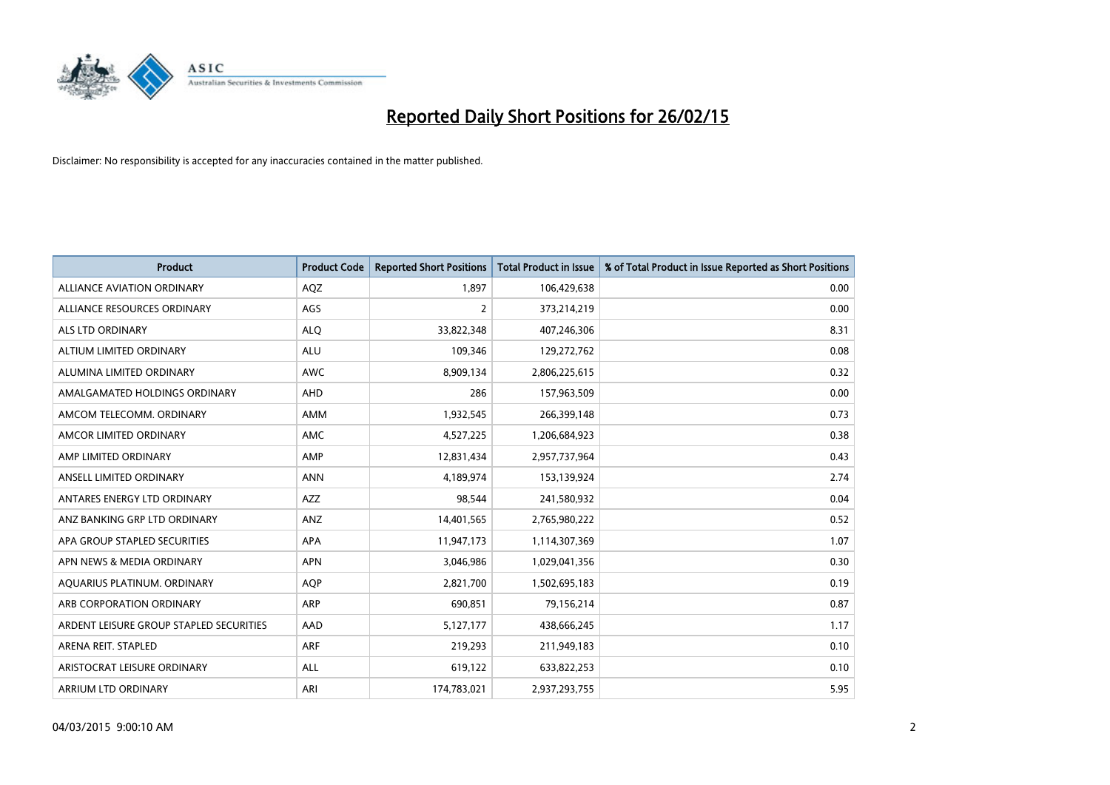

| <b>Product</b>                          | <b>Product Code</b> | <b>Reported Short Positions</b> | <b>Total Product in Issue</b> | % of Total Product in Issue Reported as Short Positions |
|-----------------------------------------|---------------------|---------------------------------|-------------------------------|---------------------------------------------------------|
| ALLIANCE AVIATION ORDINARY              | AQZ                 | 1,897                           | 106,429,638                   | 0.00                                                    |
| ALLIANCE RESOURCES ORDINARY             | AGS                 | 2                               | 373,214,219                   | 0.00                                                    |
| ALS LTD ORDINARY                        | <b>ALQ</b>          | 33,822,348                      | 407,246,306                   | 8.31                                                    |
| ALTIUM LIMITED ORDINARY                 | <b>ALU</b>          | 109,346                         | 129,272,762                   | 0.08                                                    |
| ALUMINA LIMITED ORDINARY                | <b>AWC</b>          | 8,909,134                       | 2,806,225,615                 | 0.32                                                    |
| AMALGAMATED HOLDINGS ORDINARY           | AHD                 | 286                             | 157,963,509                   | 0.00                                                    |
| AMCOM TELECOMM. ORDINARY                | AMM                 | 1,932,545                       | 266,399,148                   | 0.73                                                    |
| AMCOR LIMITED ORDINARY                  | AMC                 | 4,527,225                       | 1,206,684,923                 | 0.38                                                    |
| AMP LIMITED ORDINARY                    | AMP                 | 12,831,434                      | 2,957,737,964                 | 0.43                                                    |
| ANSELL LIMITED ORDINARY                 | <b>ANN</b>          | 4,189,974                       | 153,139,924                   | 2.74                                                    |
| ANTARES ENERGY LTD ORDINARY             | AZZ                 | 98,544                          | 241,580,932                   | 0.04                                                    |
| ANZ BANKING GRP LTD ORDINARY            | ANZ                 | 14,401,565                      | 2,765,980,222                 | 0.52                                                    |
| APA GROUP STAPLED SECURITIES            | APA                 | 11,947,173                      | 1,114,307,369                 | 1.07                                                    |
| APN NEWS & MEDIA ORDINARY               | <b>APN</b>          | 3,046,986                       | 1,029,041,356                 | 0.30                                                    |
| AQUARIUS PLATINUM. ORDINARY             | <b>AOP</b>          | 2,821,700                       | 1,502,695,183                 | 0.19                                                    |
| ARB CORPORATION ORDINARY                | ARP                 | 690,851                         | 79,156,214                    | 0.87                                                    |
| ARDENT LEISURE GROUP STAPLED SECURITIES | AAD                 | 5,127,177                       | 438,666,245                   | 1.17                                                    |
| ARENA REIT. STAPLED                     | ARF                 | 219,293                         | 211,949,183                   | 0.10                                                    |
| ARISTOCRAT LEISURE ORDINARY             | ALL                 | 619,122                         | 633,822,253                   | 0.10                                                    |
| ARRIUM LTD ORDINARY                     | ARI                 | 174,783,021                     | 2,937,293,755                 | 5.95                                                    |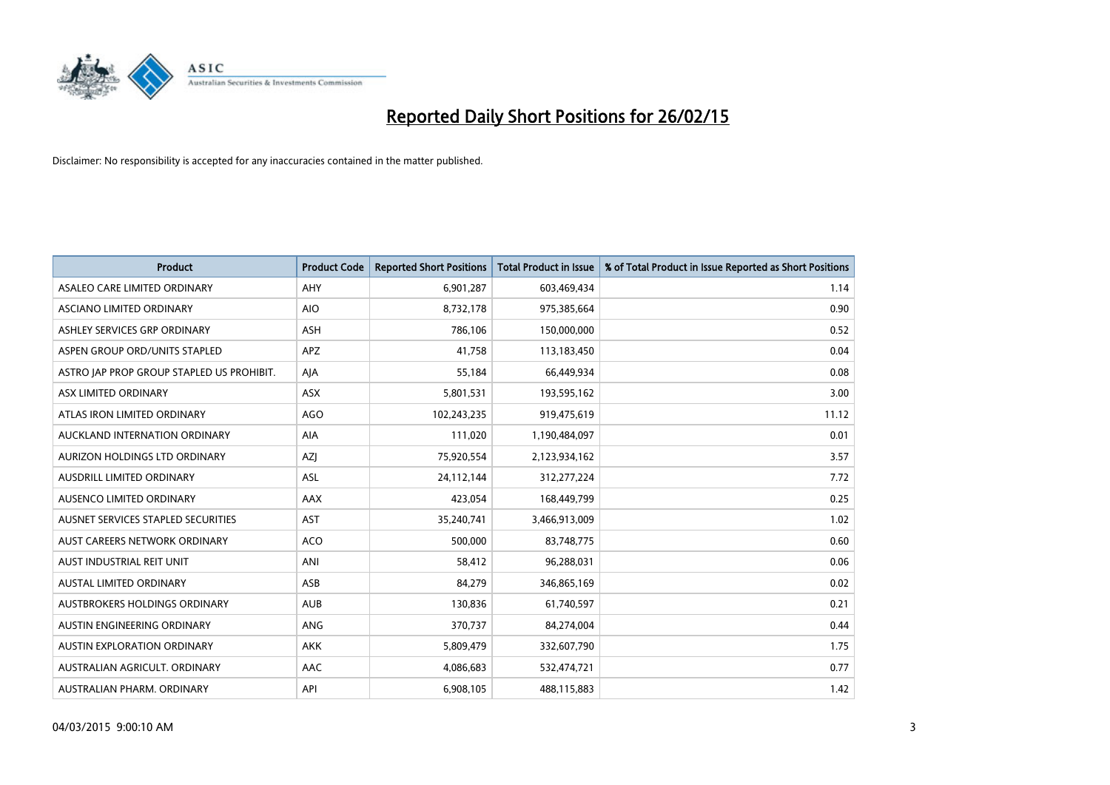

| <b>Product</b>                            | <b>Product Code</b> | <b>Reported Short Positions</b> | <b>Total Product in Issue</b> | % of Total Product in Issue Reported as Short Positions |
|-------------------------------------------|---------------------|---------------------------------|-------------------------------|---------------------------------------------------------|
| ASALEO CARE LIMITED ORDINARY              | AHY                 | 6,901,287                       | 603,469,434                   | 1.14                                                    |
| ASCIANO LIMITED ORDINARY                  | <b>AIO</b>          | 8,732,178                       | 975,385,664                   | 0.90                                                    |
| ASHLEY SERVICES GRP ORDINARY              | <b>ASH</b>          | 786,106                         | 150,000,000                   | 0.52                                                    |
| ASPEN GROUP ORD/UNITS STAPLED             | APZ                 | 41,758                          | 113,183,450                   | 0.04                                                    |
| ASTRO JAP PROP GROUP STAPLED US PROHIBIT. | AJA                 | 55,184                          | 66,449,934                    | 0.08                                                    |
| ASX LIMITED ORDINARY                      | ASX                 | 5,801,531                       | 193,595,162                   | 3.00                                                    |
| ATLAS IRON LIMITED ORDINARY               | <b>AGO</b>          | 102,243,235                     | 919,475,619                   | 11.12                                                   |
| AUCKLAND INTERNATION ORDINARY             | <b>AIA</b>          | 111,020                         | 1,190,484,097                 | 0.01                                                    |
| AURIZON HOLDINGS LTD ORDINARY             | AZJ                 | 75,920,554                      | 2,123,934,162                 | 3.57                                                    |
| AUSDRILL LIMITED ORDINARY                 | <b>ASL</b>          | 24,112,144                      | 312,277,224                   | 7.72                                                    |
| AUSENCO LIMITED ORDINARY                  | AAX                 | 423,054                         | 168,449,799                   | 0.25                                                    |
| AUSNET SERVICES STAPLED SECURITIES        | <b>AST</b>          | 35,240,741                      | 3,466,913,009                 | 1.02                                                    |
| AUST CAREERS NETWORK ORDINARY             | <b>ACO</b>          | 500,000                         | 83,748,775                    | 0.60                                                    |
| AUST INDUSTRIAL REIT UNIT                 | ANI                 | 58,412                          | 96,288,031                    | 0.06                                                    |
| <b>AUSTAL LIMITED ORDINARY</b>            | ASB                 | 84,279                          | 346,865,169                   | 0.02                                                    |
| AUSTBROKERS HOLDINGS ORDINARY             | <b>AUB</b>          | 130,836                         | 61,740,597                    | 0.21                                                    |
| AUSTIN ENGINEERING ORDINARY               | ANG                 | 370,737                         | 84,274,004                    | 0.44                                                    |
| AUSTIN EXPLORATION ORDINARY               | <b>AKK</b>          | 5,809,479                       | 332,607,790                   | 1.75                                                    |
| AUSTRALIAN AGRICULT, ORDINARY             | AAC                 | 4,086,683                       | 532,474,721                   | 0.77                                                    |
| AUSTRALIAN PHARM. ORDINARY                | API                 | 6,908,105                       | 488,115,883                   | 1.42                                                    |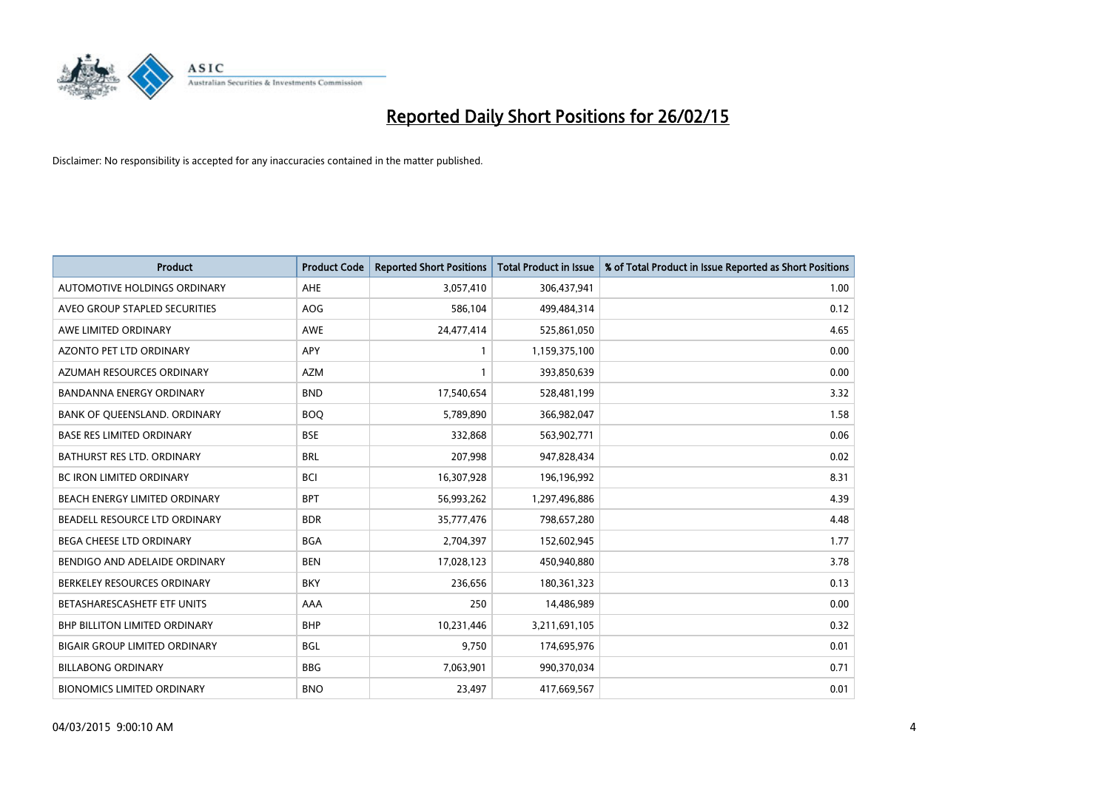

| <b>Product</b>                       | <b>Product Code</b> | <b>Reported Short Positions</b> | <b>Total Product in Issue</b> | % of Total Product in Issue Reported as Short Positions |
|--------------------------------------|---------------------|---------------------------------|-------------------------------|---------------------------------------------------------|
| <b>AUTOMOTIVE HOLDINGS ORDINARY</b>  | AHE                 | 3,057,410                       | 306,437,941                   | 1.00                                                    |
| AVEO GROUP STAPLED SECURITIES        | <b>AOG</b>          | 586,104                         | 499,484,314                   | 0.12                                                    |
| AWE LIMITED ORDINARY                 | <b>AWE</b>          | 24,477,414                      | 525,861,050                   | 4.65                                                    |
| AZONTO PET LTD ORDINARY              | APY                 | $\mathbf{1}$                    | 1,159,375,100                 | 0.00                                                    |
| AZUMAH RESOURCES ORDINARY            | <b>AZM</b>          | $\mathbf{1}$                    | 393,850,639                   | 0.00                                                    |
| <b>BANDANNA ENERGY ORDINARY</b>      | <b>BND</b>          | 17,540,654                      | 528,481,199                   | 3.32                                                    |
| BANK OF QUEENSLAND. ORDINARY         | <b>BOQ</b>          | 5,789,890                       | 366,982,047                   | 1.58                                                    |
| <b>BASE RES LIMITED ORDINARY</b>     | <b>BSE</b>          | 332,868                         | 563,902,771                   | 0.06                                                    |
| <b>BATHURST RES LTD. ORDINARY</b>    | <b>BRL</b>          | 207,998                         | 947,828,434                   | 0.02                                                    |
| <b>BC IRON LIMITED ORDINARY</b>      | <b>BCI</b>          | 16,307,928                      | 196,196,992                   | 8.31                                                    |
| BEACH ENERGY LIMITED ORDINARY        | <b>BPT</b>          | 56,993,262                      | 1,297,496,886                 | 4.39                                                    |
| BEADELL RESOURCE LTD ORDINARY        | <b>BDR</b>          | 35,777,476                      | 798,657,280                   | 4.48                                                    |
| BEGA CHEESE LTD ORDINARY             | <b>BGA</b>          | 2,704,397                       | 152,602,945                   | 1.77                                                    |
| BENDIGO AND ADELAIDE ORDINARY        | <b>BEN</b>          | 17,028,123                      | 450,940,880                   | 3.78                                                    |
| BERKELEY RESOURCES ORDINARY          | <b>BKY</b>          | 236,656                         | 180,361,323                   | 0.13                                                    |
| BETASHARESCASHETF ETF UNITS          | AAA                 | 250                             | 14,486,989                    | 0.00                                                    |
| BHP BILLITON LIMITED ORDINARY        | <b>BHP</b>          | 10,231,446                      | 3,211,691,105                 | 0.32                                                    |
| <b>BIGAIR GROUP LIMITED ORDINARY</b> | <b>BGL</b>          | 9,750                           | 174,695,976                   | 0.01                                                    |
| <b>BILLABONG ORDINARY</b>            | <b>BBG</b>          | 7,063,901                       | 990,370,034                   | 0.71                                                    |
| <b>BIONOMICS LIMITED ORDINARY</b>    | <b>BNO</b>          | 23,497                          | 417,669,567                   | 0.01                                                    |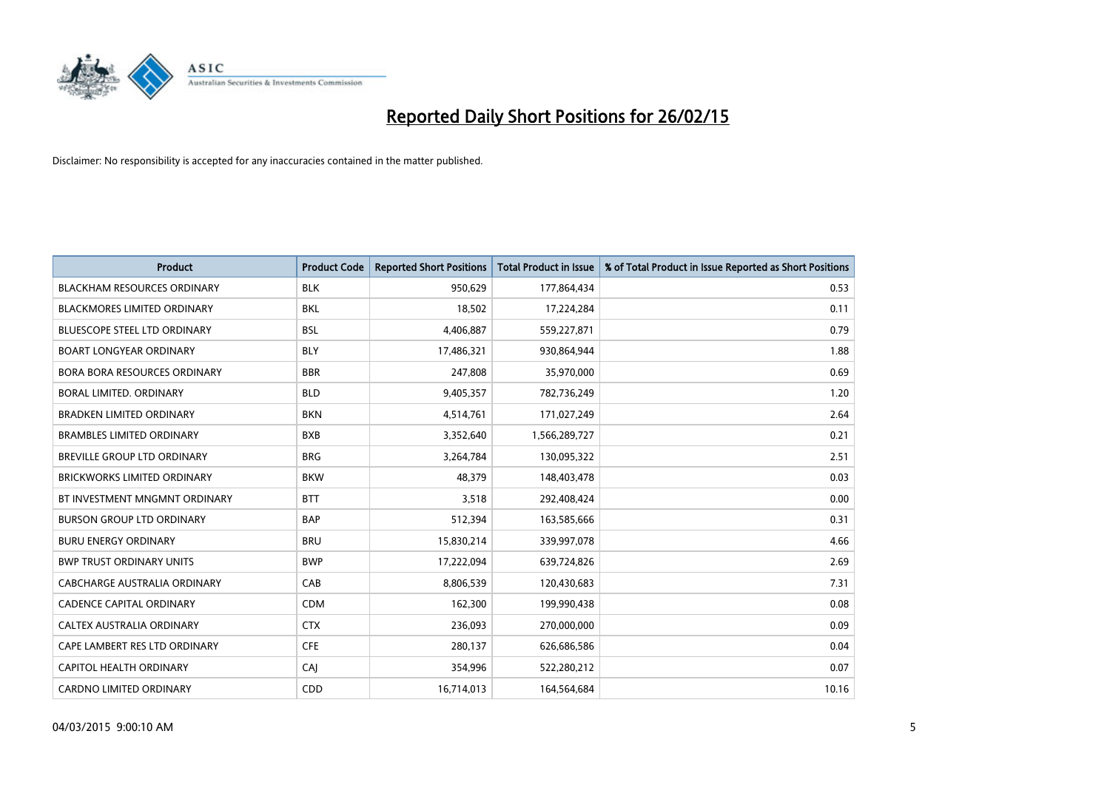

| <b>Product</b>                      | <b>Product Code</b> | <b>Reported Short Positions</b> | <b>Total Product in Issue</b> | % of Total Product in Issue Reported as Short Positions |
|-------------------------------------|---------------------|---------------------------------|-------------------------------|---------------------------------------------------------|
| <b>BLACKHAM RESOURCES ORDINARY</b>  | <b>BLK</b>          | 950,629                         | 177,864,434                   | 0.53                                                    |
| BLACKMORES LIMITED ORDINARY         | BKL                 | 18,502                          | 17,224,284                    | 0.11                                                    |
| <b>BLUESCOPE STEEL LTD ORDINARY</b> | <b>BSL</b>          | 4,406,887                       | 559,227,871                   | 0.79                                                    |
| <b>BOART LONGYEAR ORDINARY</b>      | <b>BLY</b>          | 17,486,321                      | 930,864,944                   | 1.88                                                    |
| <b>BORA BORA RESOURCES ORDINARY</b> | <b>BBR</b>          | 247,808                         | 35,970,000                    | 0.69                                                    |
| <b>BORAL LIMITED, ORDINARY</b>      | <b>BLD</b>          | 9,405,357                       | 782,736,249                   | 1.20                                                    |
| <b>BRADKEN LIMITED ORDINARY</b>     | <b>BKN</b>          | 4,514,761                       | 171,027,249                   | 2.64                                                    |
| <b>BRAMBLES LIMITED ORDINARY</b>    | <b>BXB</b>          | 3,352,640                       | 1,566,289,727                 | 0.21                                                    |
| <b>BREVILLE GROUP LTD ORDINARY</b>  | <b>BRG</b>          | 3,264,784                       | 130,095,322                   | 2.51                                                    |
| <b>BRICKWORKS LIMITED ORDINARY</b>  | <b>BKW</b>          | 48,379                          | 148,403,478                   | 0.03                                                    |
| BT INVESTMENT MNGMNT ORDINARY       | <b>BTT</b>          | 3,518                           | 292,408,424                   | 0.00                                                    |
| <b>BURSON GROUP LTD ORDINARY</b>    | <b>BAP</b>          | 512,394                         | 163,585,666                   | 0.31                                                    |
| <b>BURU ENERGY ORDINARY</b>         | <b>BRU</b>          | 15,830,214                      | 339,997,078                   | 4.66                                                    |
| <b>BWP TRUST ORDINARY UNITS</b>     | <b>BWP</b>          | 17,222,094                      | 639,724,826                   | 2.69                                                    |
| <b>CABCHARGE AUSTRALIA ORDINARY</b> | CAB                 | 8,806,539                       | 120,430,683                   | 7.31                                                    |
| <b>CADENCE CAPITAL ORDINARY</b>     | <b>CDM</b>          | 162,300                         | 199,990,438                   | 0.08                                                    |
| CALTEX AUSTRALIA ORDINARY           | <b>CTX</b>          | 236,093                         | 270,000,000                   | 0.09                                                    |
| CAPE LAMBERT RES LTD ORDINARY       | <b>CFE</b>          | 280,137                         | 626,686,586                   | 0.04                                                    |
| <b>CAPITOL HEALTH ORDINARY</b>      | CAJ                 | 354,996                         | 522,280,212                   | 0.07                                                    |
| <b>CARDNO LIMITED ORDINARY</b>      | CDD                 | 16,714,013                      | 164,564,684                   | 10.16                                                   |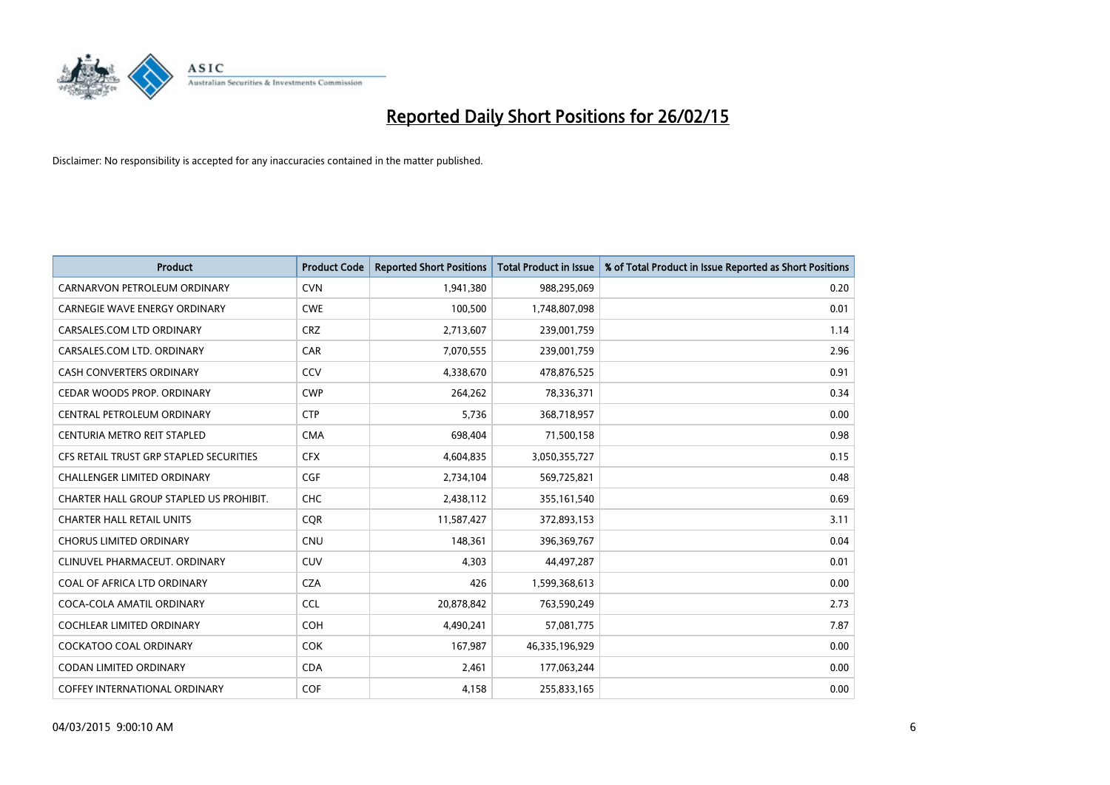

| <b>Product</b>                          | <b>Product Code</b> | <b>Reported Short Positions</b> | <b>Total Product in Issue</b> | % of Total Product in Issue Reported as Short Positions |
|-----------------------------------------|---------------------|---------------------------------|-------------------------------|---------------------------------------------------------|
| CARNARVON PETROLEUM ORDINARY            | <b>CVN</b>          | 1,941,380                       | 988,295,069                   | 0.20                                                    |
| CARNEGIE WAVE ENERGY ORDINARY           | <b>CWE</b>          | 100,500                         | 1,748,807,098                 | 0.01                                                    |
| CARSALES.COM LTD ORDINARY               | <b>CRZ</b>          | 2,713,607                       | 239,001,759                   | 1.14                                                    |
| CARSALES.COM LTD. ORDINARY              | CAR                 | 7,070,555                       | 239,001,759                   | 2.96                                                    |
| <b>CASH CONVERTERS ORDINARY</b>         | CCV                 | 4,338,670                       | 478,876,525                   | 0.91                                                    |
| CEDAR WOODS PROP. ORDINARY              | <b>CWP</b>          | 264,262                         | 78,336,371                    | 0.34                                                    |
| CENTRAL PETROLEUM ORDINARY              | <b>CTP</b>          | 5,736                           | 368,718,957                   | 0.00                                                    |
| CENTURIA METRO REIT STAPLED             | <b>CMA</b>          | 698,404                         | 71,500,158                    | 0.98                                                    |
| CFS RETAIL TRUST GRP STAPLED SECURITIES | <b>CFX</b>          | 4,604,835                       | 3,050,355,727                 | 0.15                                                    |
| <b>CHALLENGER LIMITED ORDINARY</b>      | <b>CGF</b>          | 2,734,104                       | 569,725,821                   | 0.48                                                    |
| CHARTER HALL GROUP STAPLED US PROHIBIT. | <b>CHC</b>          | 2,438,112                       | 355,161,540                   | 0.69                                                    |
| <b>CHARTER HALL RETAIL UNITS</b>        | <b>COR</b>          | 11,587,427                      | 372,893,153                   | 3.11                                                    |
| <b>CHORUS LIMITED ORDINARY</b>          | <b>CNU</b>          | 148,361                         | 396,369,767                   | 0.04                                                    |
| CLINUVEL PHARMACEUT, ORDINARY           | CUV                 | 4,303                           | 44,497,287                    | 0.01                                                    |
| COAL OF AFRICA LTD ORDINARY             | <b>CZA</b>          | 426                             | 1,599,368,613                 | 0.00                                                    |
| COCA-COLA AMATIL ORDINARY               | <b>CCL</b>          | 20,878,842                      | 763,590,249                   | 2.73                                                    |
| COCHLEAR LIMITED ORDINARY               | <b>COH</b>          | 4,490,241                       | 57,081,775                    | 7.87                                                    |
| <b>COCKATOO COAL ORDINARY</b>           | <b>COK</b>          | 167,987                         | 46,335,196,929                | 0.00                                                    |
| <b>CODAN LIMITED ORDINARY</b>           | <b>CDA</b>          | 2,461                           | 177,063,244                   | 0.00                                                    |
| <b>COFFEY INTERNATIONAL ORDINARY</b>    | <b>COF</b>          | 4,158                           | 255,833,165                   | 0.00                                                    |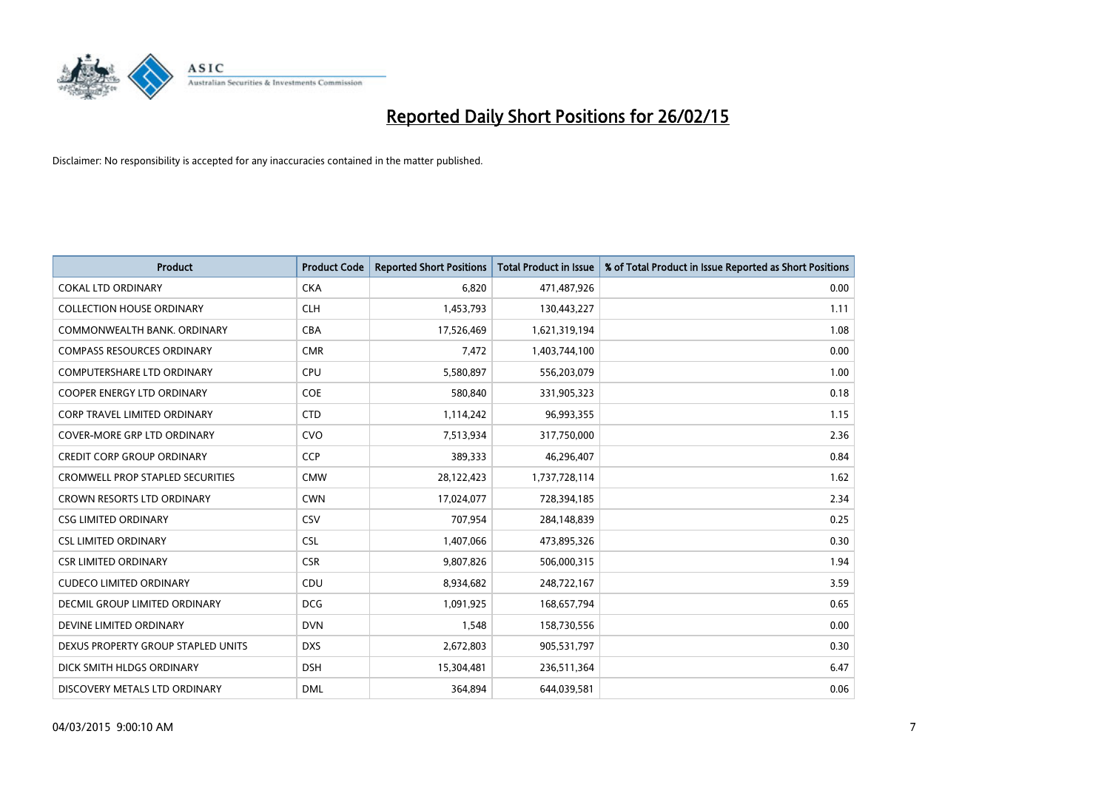

| <b>Product</b>                          | <b>Product Code</b> | <b>Reported Short Positions</b> | <b>Total Product in Issue</b> | % of Total Product in Issue Reported as Short Positions |
|-----------------------------------------|---------------------|---------------------------------|-------------------------------|---------------------------------------------------------|
| <b>COKAL LTD ORDINARY</b>               | <b>CKA</b>          | 6.820                           | 471,487,926                   | 0.00                                                    |
| <b>COLLECTION HOUSE ORDINARY</b>        | <b>CLH</b>          | 1,453,793                       | 130,443,227                   | 1.11                                                    |
| COMMONWEALTH BANK, ORDINARY             | <b>CBA</b>          | 17,526,469                      | 1,621,319,194                 | 1.08                                                    |
| <b>COMPASS RESOURCES ORDINARY</b>       | <b>CMR</b>          | 7,472                           | 1,403,744,100                 | 0.00                                                    |
| <b>COMPUTERSHARE LTD ORDINARY</b>       | <b>CPU</b>          | 5,580,897                       | 556,203,079                   | 1.00                                                    |
| <b>COOPER ENERGY LTD ORDINARY</b>       | <b>COE</b>          | 580,840                         | 331,905,323                   | 0.18                                                    |
| <b>CORP TRAVEL LIMITED ORDINARY</b>     | <b>CTD</b>          | 1,114,242                       | 96,993,355                    | 1.15                                                    |
| COVER-MORE GRP LTD ORDINARY             | <b>CVO</b>          | 7,513,934                       | 317,750,000                   | 2.36                                                    |
| <b>CREDIT CORP GROUP ORDINARY</b>       | CCP                 | 389,333                         | 46,296,407                    | 0.84                                                    |
| <b>CROMWELL PROP STAPLED SECURITIES</b> | <b>CMW</b>          | 28,122,423                      | 1,737,728,114                 | 1.62                                                    |
| CROWN RESORTS LTD ORDINARY              | <b>CWN</b>          | 17,024,077                      | 728,394,185                   | 2.34                                                    |
| <b>CSG LIMITED ORDINARY</b>             | CSV                 | 707,954                         | 284,148,839                   | 0.25                                                    |
| <b>CSL LIMITED ORDINARY</b>             | <b>CSL</b>          | 1,407,066                       | 473,895,326                   | 0.30                                                    |
| <b>CSR LIMITED ORDINARY</b>             | <b>CSR</b>          | 9,807,826                       | 506,000,315                   | 1.94                                                    |
| <b>CUDECO LIMITED ORDINARY</b>          | CDU                 | 8,934,682                       | 248,722,167                   | 3.59                                                    |
| DECMIL GROUP LIMITED ORDINARY           | <b>DCG</b>          | 1,091,925                       | 168,657,794                   | 0.65                                                    |
| DEVINE LIMITED ORDINARY                 | <b>DVN</b>          | 1,548                           | 158,730,556                   | 0.00                                                    |
| DEXUS PROPERTY GROUP STAPLED UNITS      | <b>DXS</b>          | 2,672,803                       | 905,531,797                   | 0.30                                                    |
| DICK SMITH HLDGS ORDINARY               | <b>DSH</b>          | 15,304,481                      | 236,511,364                   | 6.47                                                    |
| DISCOVERY METALS LTD ORDINARY           | <b>DML</b>          | 364,894                         | 644,039,581                   | 0.06                                                    |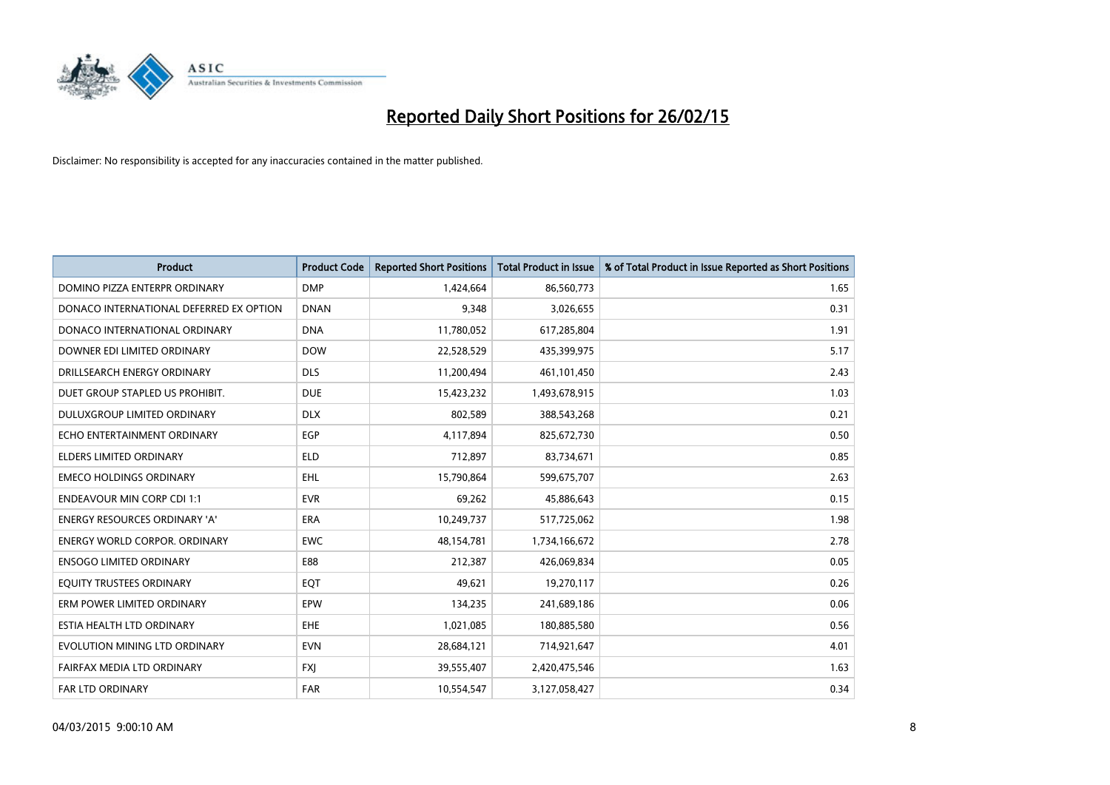

| <b>Product</b>                          | <b>Product Code</b> | <b>Reported Short Positions</b> | <b>Total Product in Issue</b> | % of Total Product in Issue Reported as Short Positions |
|-----------------------------------------|---------------------|---------------------------------|-------------------------------|---------------------------------------------------------|
| DOMINO PIZZA ENTERPR ORDINARY           | <b>DMP</b>          | 1,424,664                       | 86,560,773                    | 1.65                                                    |
| DONACO INTERNATIONAL DEFERRED EX OPTION | <b>DNAN</b>         | 9,348                           | 3,026,655                     | 0.31                                                    |
| DONACO INTERNATIONAL ORDINARY           | <b>DNA</b>          | 11,780,052                      | 617,285,804                   | 1.91                                                    |
| DOWNER EDI LIMITED ORDINARY             | <b>DOW</b>          | 22,528,529                      | 435,399,975                   | 5.17                                                    |
| DRILLSEARCH ENERGY ORDINARY             | <b>DLS</b>          | 11,200,494                      | 461,101,450                   | 2.43                                                    |
| DUET GROUP STAPLED US PROHIBIT.         | <b>DUE</b>          | 15,423,232                      | 1,493,678,915                 | 1.03                                                    |
| <b>DULUXGROUP LIMITED ORDINARY</b>      | <b>DLX</b>          | 802,589                         | 388,543,268                   | 0.21                                                    |
| ECHO ENTERTAINMENT ORDINARY             | <b>EGP</b>          | 4,117,894                       | 825,672,730                   | 0.50                                                    |
| <b>ELDERS LIMITED ORDINARY</b>          | <b>ELD</b>          | 712,897                         | 83,734,671                    | 0.85                                                    |
| <b>EMECO HOLDINGS ORDINARY</b>          | <b>EHL</b>          | 15,790,864                      | 599,675,707                   | 2.63                                                    |
| <b>ENDEAVOUR MIN CORP CDI 1:1</b>       | <b>EVR</b>          | 69,262                          | 45,886,643                    | 0.15                                                    |
| <b>ENERGY RESOURCES ORDINARY 'A'</b>    | ERA                 | 10,249,737                      | 517,725,062                   | 1.98                                                    |
| ENERGY WORLD CORPOR. ORDINARY           | <b>EWC</b>          | 48,154,781                      | 1,734,166,672                 | 2.78                                                    |
| <b>ENSOGO LIMITED ORDINARY</b>          | E88                 | 212,387                         | 426,069,834                   | 0.05                                                    |
| EQUITY TRUSTEES ORDINARY                | EQT                 | 49,621                          | 19,270,117                    | 0.26                                                    |
| ERM POWER LIMITED ORDINARY              | EPW                 | 134,235                         | 241,689,186                   | 0.06                                                    |
| ESTIA HEALTH LTD ORDINARY               | EHE                 | 1,021,085                       | 180,885,580                   | 0.56                                                    |
| EVOLUTION MINING LTD ORDINARY           | <b>EVN</b>          | 28,684,121                      | 714,921,647                   | 4.01                                                    |
| FAIRFAX MEDIA LTD ORDINARY              | <b>FXI</b>          | 39,555,407                      | 2,420,475,546                 | 1.63                                                    |
| FAR LTD ORDINARY                        | <b>FAR</b>          | 10,554,547                      | 3,127,058,427                 | 0.34                                                    |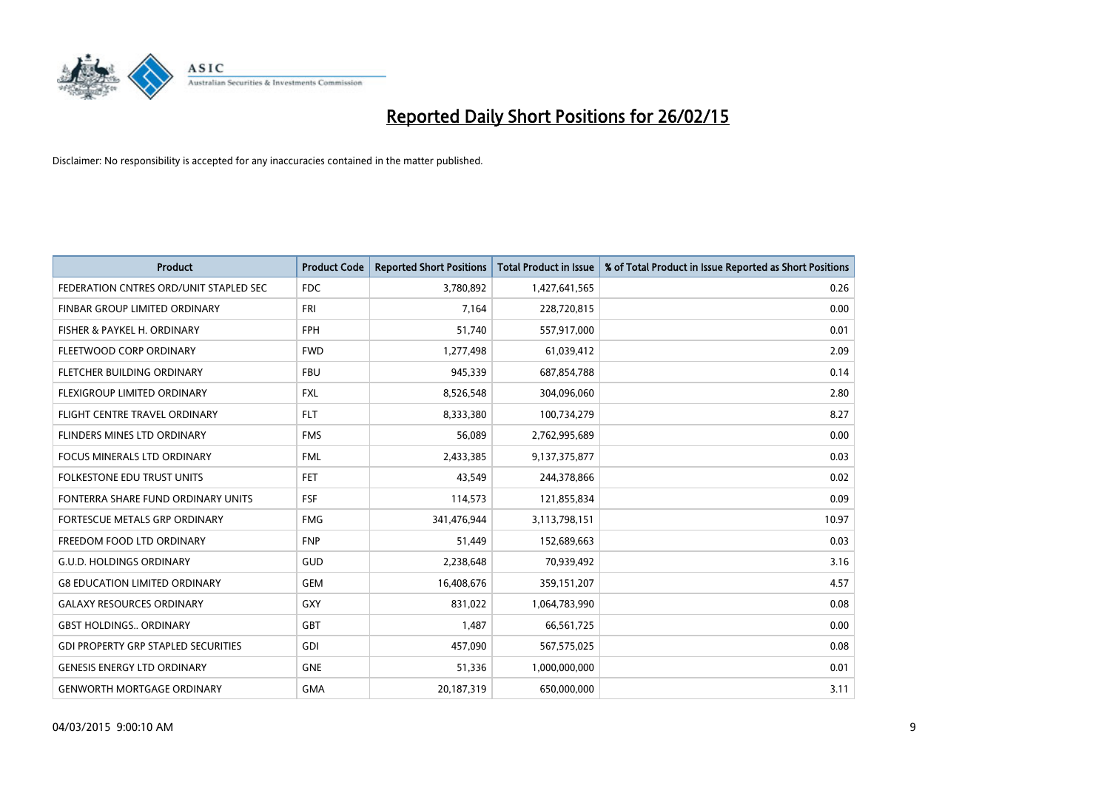

| <b>Product</b>                             | <b>Product Code</b> | <b>Reported Short Positions</b> | <b>Total Product in Issue</b> | % of Total Product in Issue Reported as Short Positions |
|--------------------------------------------|---------------------|---------------------------------|-------------------------------|---------------------------------------------------------|
| FEDERATION CNTRES ORD/UNIT STAPLED SEC     | FDC                 | 3,780,892                       | 1,427,641,565                 | 0.26                                                    |
| FINBAR GROUP LIMITED ORDINARY              | <b>FRI</b>          | 7,164                           | 228,720,815                   | 0.00                                                    |
| FISHER & PAYKEL H. ORDINARY                | <b>FPH</b>          | 51,740                          | 557,917,000                   | 0.01                                                    |
| FLEETWOOD CORP ORDINARY                    | <b>FWD</b>          | 1,277,498                       | 61,039,412                    | 2.09                                                    |
| FLETCHER BUILDING ORDINARY                 | <b>FBU</b>          | 945,339                         | 687,854,788                   | 0.14                                                    |
| FLEXIGROUP LIMITED ORDINARY                | <b>FXL</b>          | 8,526,548                       | 304,096,060                   | 2.80                                                    |
| FLIGHT CENTRE TRAVEL ORDINARY              | <b>FLT</b>          | 8,333,380                       | 100,734,279                   | 8.27                                                    |
| FLINDERS MINES LTD ORDINARY                | <b>FMS</b>          | 56,089                          | 2,762,995,689                 | 0.00                                                    |
| <b>FOCUS MINERALS LTD ORDINARY</b>         | <b>FML</b>          | 2,433,385                       | 9,137,375,877                 | 0.03                                                    |
| <b>FOLKESTONE EDU TRUST UNITS</b>          | <b>FET</b>          | 43,549                          | 244,378,866                   | 0.02                                                    |
| FONTERRA SHARE FUND ORDINARY UNITS         | <b>FSF</b>          | 114,573                         | 121,855,834                   | 0.09                                                    |
| <b>FORTESCUE METALS GRP ORDINARY</b>       | <b>FMG</b>          | 341,476,944                     | 3,113,798,151                 | 10.97                                                   |
| FREEDOM FOOD LTD ORDINARY                  | <b>FNP</b>          | 51,449                          | 152,689,663                   | 0.03                                                    |
| <b>G.U.D. HOLDINGS ORDINARY</b>            | GUD                 | 2,238,648                       | 70,939,492                    | 3.16                                                    |
| <b>G8 EDUCATION LIMITED ORDINARY</b>       | <b>GEM</b>          | 16,408,676                      | 359,151,207                   | 4.57                                                    |
| <b>GALAXY RESOURCES ORDINARY</b>           | GXY                 | 831,022                         | 1,064,783,990                 | 0.08                                                    |
| <b>GBST HOLDINGS ORDINARY</b>              | GBT                 | 1,487                           | 66,561,725                    | 0.00                                                    |
| <b>GDI PROPERTY GRP STAPLED SECURITIES</b> | GDI                 | 457,090                         | 567,575,025                   | 0.08                                                    |
| <b>GENESIS ENERGY LTD ORDINARY</b>         | <b>GNE</b>          | 51,336                          | 1,000,000,000                 | 0.01                                                    |
| <b>GENWORTH MORTGAGE ORDINARY</b>          | <b>GMA</b>          | 20,187,319                      | 650,000,000                   | 3.11                                                    |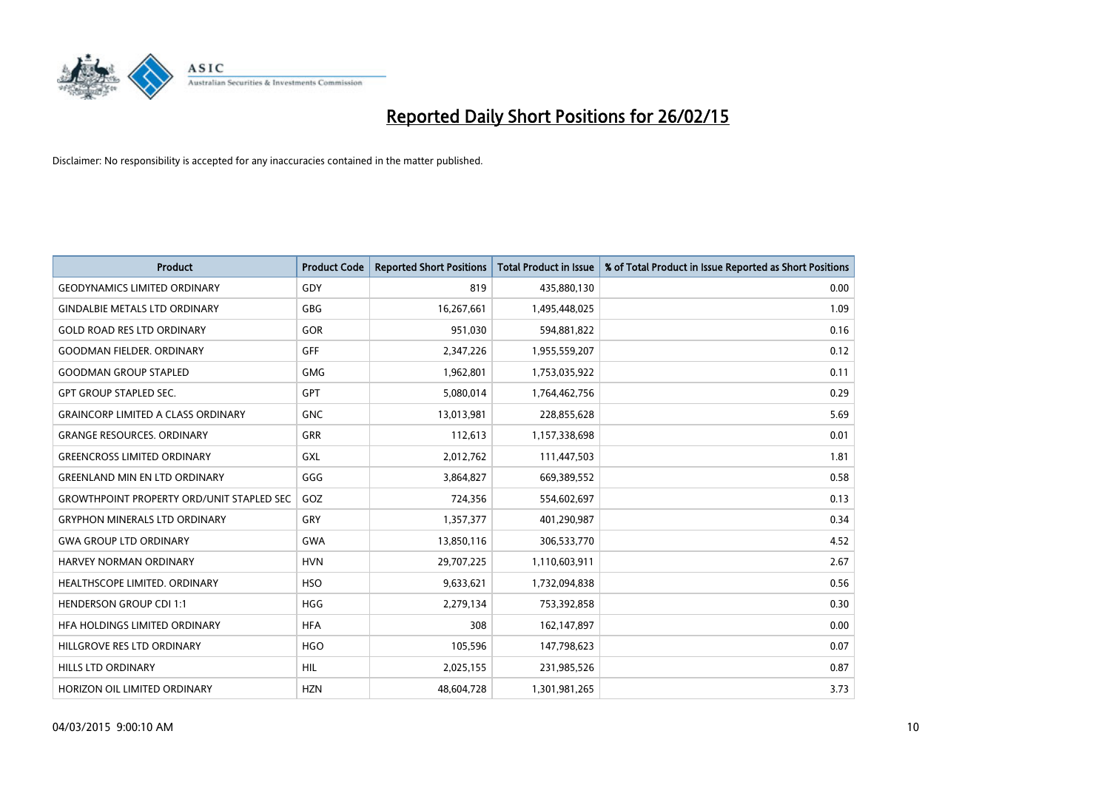

| <b>Product</b>                                   | <b>Product Code</b> | <b>Reported Short Positions</b> | <b>Total Product in Issue</b> | % of Total Product in Issue Reported as Short Positions |
|--------------------------------------------------|---------------------|---------------------------------|-------------------------------|---------------------------------------------------------|
| <b>GEODYNAMICS LIMITED ORDINARY</b>              | GDY                 | 819                             | 435,880,130                   | 0.00                                                    |
| <b>GINDALBIE METALS LTD ORDINARY</b>             | <b>GBG</b>          | 16,267,661                      | 1,495,448,025                 | 1.09                                                    |
| <b>GOLD ROAD RES LTD ORDINARY</b>                | GOR                 | 951,030                         | 594,881,822                   | 0.16                                                    |
| <b>GOODMAN FIELDER. ORDINARY</b>                 | <b>GFF</b>          | 2,347,226                       | 1,955,559,207                 | 0.12                                                    |
| <b>GOODMAN GROUP STAPLED</b>                     | <b>GMG</b>          | 1,962,801                       | 1,753,035,922                 | 0.11                                                    |
| <b>GPT GROUP STAPLED SEC.</b>                    | <b>GPT</b>          | 5,080,014                       | 1,764,462,756                 | 0.29                                                    |
| <b>GRAINCORP LIMITED A CLASS ORDINARY</b>        | <b>GNC</b>          | 13,013,981                      | 228,855,628                   | 5.69                                                    |
| <b>GRANGE RESOURCES, ORDINARY</b>                | GRR                 | 112,613                         | 1,157,338,698                 | 0.01                                                    |
| <b>GREENCROSS LIMITED ORDINARY</b>               | GXL                 | 2,012,762                       | 111,447,503                   | 1.81                                                    |
| <b>GREENLAND MIN EN LTD ORDINARY</b>             | GGG                 | 3,864,827                       | 669,389,552                   | 0.58                                                    |
| <b>GROWTHPOINT PROPERTY ORD/UNIT STAPLED SEC</b> | GOZ                 | 724,356                         | 554,602,697                   | 0.13                                                    |
| <b>GRYPHON MINERALS LTD ORDINARY</b>             | GRY                 | 1,357,377                       | 401,290,987                   | 0.34                                                    |
| <b>GWA GROUP LTD ORDINARY</b>                    | <b>GWA</b>          | 13,850,116                      | 306,533,770                   | 4.52                                                    |
| HARVEY NORMAN ORDINARY                           | <b>HVN</b>          | 29,707,225                      | 1,110,603,911                 | 2.67                                                    |
| HEALTHSCOPE LIMITED. ORDINARY                    | <b>HSO</b>          | 9,633,621                       | 1,732,094,838                 | 0.56                                                    |
| <b>HENDERSON GROUP CDI 1:1</b>                   | <b>HGG</b>          | 2,279,134                       | 753,392,858                   | 0.30                                                    |
| HFA HOLDINGS LIMITED ORDINARY                    | <b>HFA</b>          | 308                             | 162,147,897                   | 0.00                                                    |
| HILLGROVE RES LTD ORDINARY                       | <b>HGO</b>          | 105,596                         | 147,798,623                   | 0.07                                                    |
| HILLS LTD ORDINARY                               | <b>HIL</b>          | 2,025,155                       | 231,985,526                   | 0.87                                                    |
| HORIZON OIL LIMITED ORDINARY                     | <b>HZN</b>          | 48,604,728                      | 1,301,981,265                 | 3.73                                                    |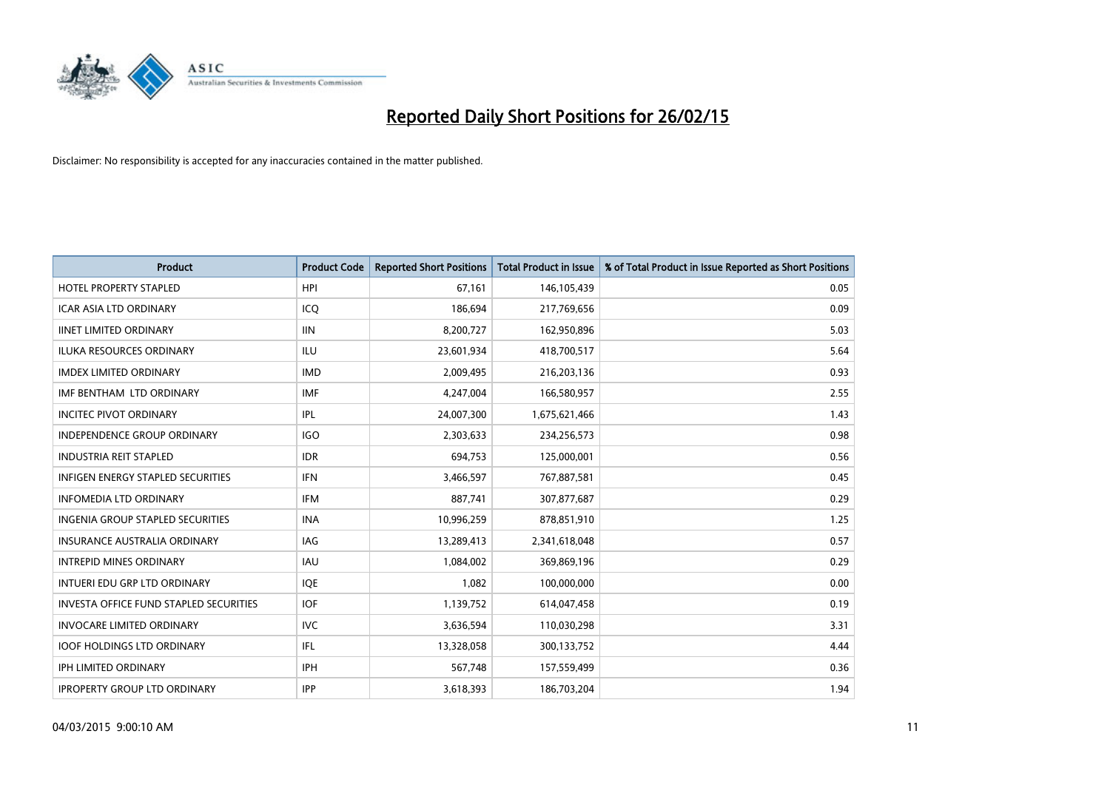

| <b>Product</b>                          | <b>Product Code</b> | <b>Reported Short Positions</b> | <b>Total Product in Issue</b> | % of Total Product in Issue Reported as Short Positions |
|-----------------------------------------|---------------------|---------------------------------|-------------------------------|---------------------------------------------------------|
| <b>HOTEL PROPERTY STAPLED</b>           | <b>HPI</b>          | 67,161                          | 146,105,439                   | 0.05                                                    |
| ICAR ASIA LTD ORDINARY                  | ICO                 | 186,694                         | 217,769,656                   | 0.09                                                    |
| <b>IINET LIMITED ORDINARY</b>           | <b>IIN</b>          | 8,200,727                       | 162,950,896                   | 5.03                                                    |
| ILUKA RESOURCES ORDINARY                | ILU                 | 23,601,934                      | 418,700,517                   | 5.64                                                    |
| <b>IMDEX LIMITED ORDINARY</b>           | <b>IMD</b>          | 2,009,495                       | 216,203,136                   | 0.93                                                    |
| IMF BENTHAM LTD ORDINARY                | <b>IMF</b>          | 4,247,004                       | 166,580,957                   | 2.55                                                    |
| <b>INCITEC PIVOT ORDINARY</b>           | <b>IPL</b>          | 24,007,300                      | 1,675,621,466                 | 1.43                                                    |
| <b>INDEPENDENCE GROUP ORDINARY</b>      | <b>IGO</b>          | 2,303,633                       | 234,256,573                   | 0.98                                                    |
| <b>INDUSTRIA REIT STAPLED</b>           | <b>IDR</b>          | 694,753                         | 125,000,001                   | 0.56                                                    |
| INFIGEN ENERGY STAPLED SECURITIES       | <b>IFN</b>          | 3,466,597                       | 767,887,581                   | 0.45                                                    |
| <b>INFOMEDIA LTD ORDINARY</b>           | <b>IFM</b>          | 887,741                         | 307,877,687                   | 0.29                                                    |
| <b>INGENIA GROUP STAPLED SECURITIES</b> | <b>INA</b>          | 10,996,259                      | 878,851,910                   | 1.25                                                    |
| <b>INSURANCE AUSTRALIA ORDINARY</b>     | IAG                 | 13,289,413                      | 2,341,618,048                 | 0.57                                                    |
| <b>INTREPID MINES ORDINARY</b>          | <b>IAU</b>          | 1,084,002                       | 369,869,196                   | 0.29                                                    |
| INTUERI EDU GRP LTD ORDINARY            | IQE                 | 1,082                           | 100,000,000                   | 0.00                                                    |
| INVESTA OFFICE FUND STAPLED SECURITIES  | <b>IOF</b>          | 1,139,752                       | 614,047,458                   | 0.19                                                    |
| <b>INVOCARE LIMITED ORDINARY</b>        | <b>IVC</b>          | 3,636,594                       | 110,030,298                   | 3.31                                                    |
| <b>IOOF HOLDINGS LTD ORDINARY</b>       | IFL                 | 13,328,058                      | 300,133,752                   | 4.44                                                    |
| <b>IPH LIMITED ORDINARY</b>             | <b>IPH</b>          | 567,748                         | 157,559,499                   | 0.36                                                    |
| <b>IPROPERTY GROUP LTD ORDINARY</b>     | <b>IPP</b>          | 3,618,393                       | 186,703,204                   | 1.94                                                    |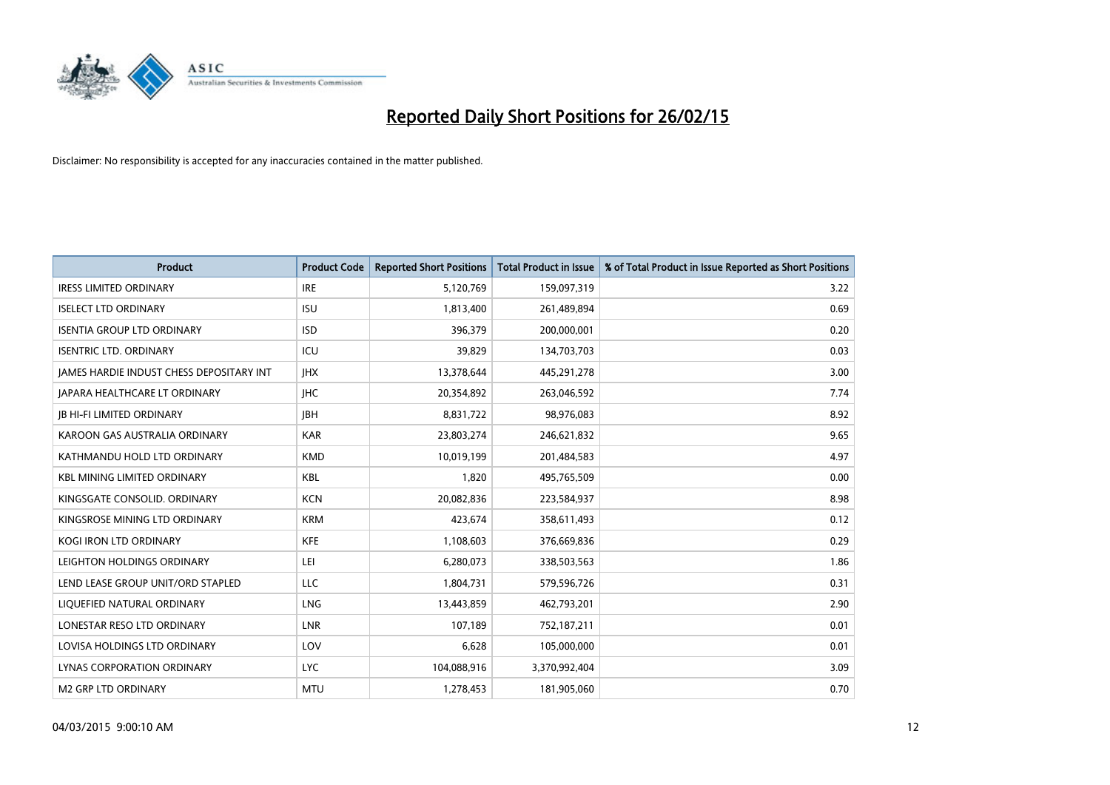

| <b>Product</b>                                  | <b>Product Code</b> | <b>Reported Short Positions</b> | <b>Total Product in Issue</b> | % of Total Product in Issue Reported as Short Positions |
|-------------------------------------------------|---------------------|---------------------------------|-------------------------------|---------------------------------------------------------|
| <b>IRESS LIMITED ORDINARY</b>                   | <b>IRE</b>          | 5,120,769                       | 159,097,319                   | 3.22                                                    |
| <b>ISELECT LTD ORDINARY</b>                     | <b>ISU</b>          | 1,813,400                       | 261,489,894                   | 0.69                                                    |
| <b>ISENTIA GROUP LTD ORDINARY</b>               | <b>ISD</b>          | 396,379                         | 200,000,001                   | 0.20                                                    |
| <b>ISENTRIC LTD. ORDINARY</b>                   | ICU                 | 39,829                          | 134,703,703                   | 0.03                                                    |
| <b>JAMES HARDIE INDUST CHESS DEPOSITARY INT</b> | <b>IHX</b>          | 13,378,644                      | 445,291,278                   | 3.00                                                    |
| <b>JAPARA HEALTHCARE LT ORDINARY</b>            | <b>IHC</b>          | 20,354,892                      | 263,046,592                   | 7.74                                                    |
| <b>JB HI-FI LIMITED ORDINARY</b>                | <b>JBH</b>          | 8,831,722                       | 98,976,083                    | 8.92                                                    |
| KAROON GAS AUSTRALIA ORDINARY                   | <b>KAR</b>          | 23,803,274                      | 246,621,832                   | 9.65                                                    |
| KATHMANDU HOLD LTD ORDINARY                     | <b>KMD</b>          | 10,019,199                      | 201,484,583                   | 4.97                                                    |
| <b>KBL MINING LIMITED ORDINARY</b>              | <b>KBL</b>          | 1,820                           | 495,765,509                   | 0.00                                                    |
| KINGSGATE CONSOLID. ORDINARY                    | <b>KCN</b>          | 20,082,836                      | 223,584,937                   | 8.98                                                    |
| KINGSROSE MINING LTD ORDINARY                   | <b>KRM</b>          | 423,674                         | 358,611,493                   | 0.12                                                    |
| KOGI IRON LTD ORDINARY                          | <b>KFE</b>          | 1,108,603                       | 376,669,836                   | 0.29                                                    |
| LEIGHTON HOLDINGS ORDINARY                      | LEI                 | 6,280,073                       | 338,503,563                   | 1.86                                                    |
| LEND LEASE GROUP UNIT/ORD STAPLED               | <b>LLC</b>          | 1,804,731                       | 579,596,726                   | 0.31                                                    |
| LIQUEFIED NATURAL ORDINARY                      | <b>LNG</b>          | 13,443,859                      | 462,793,201                   | 2.90                                                    |
| LONESTAR RESO LTD ORDINARY                      | LNR                 | 107,189                         | 752,187,211                   | 0.01                                                    |
| LOVISA HOLDINGS LTD ORDINARY                    | LOV                 | 6,628                           | 105,000,000                   | 0.01                                                    |
| LYNAS CORPORATION ORDINARY                      | <b>LYC</b>          | 104,088,916                     | 3,370,992,404                 | 3.09                                                    |
| <b>M2 GRP LTD ORDINARY</b>                      | <b>MTU</b>          | 1,278,453                       | 181,905,060                   | 0.70                                                    |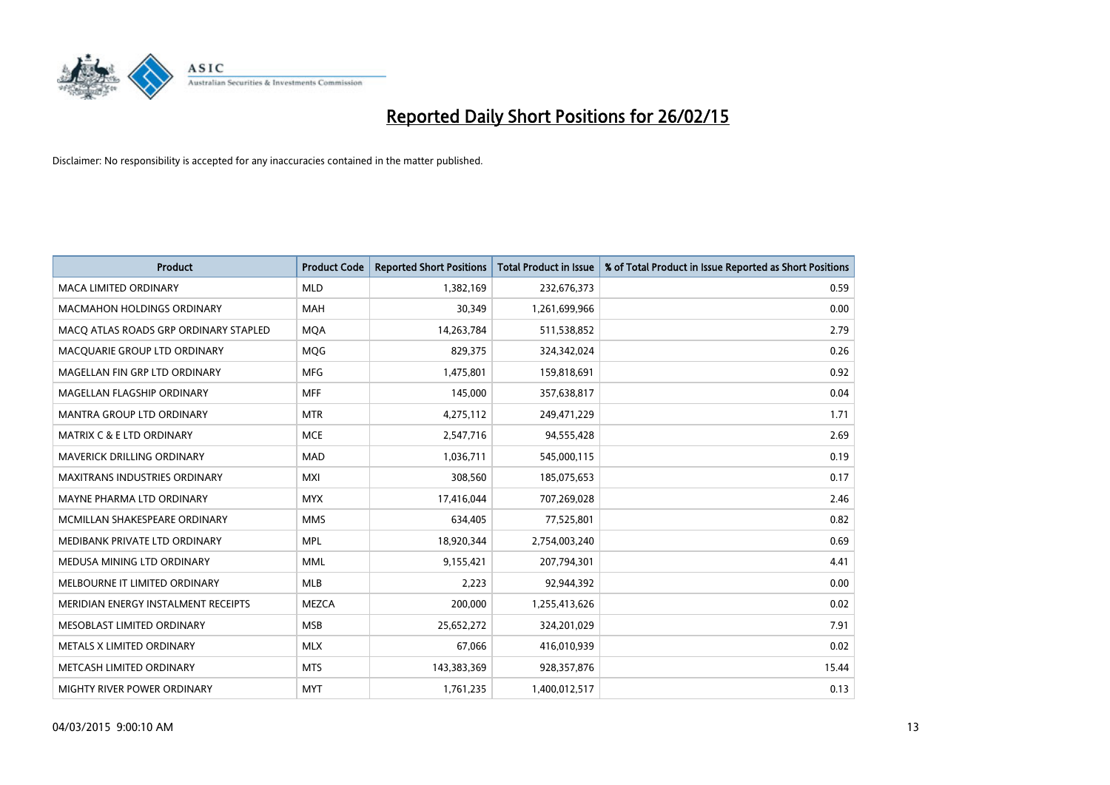

| <b>Product</b>                        | <b>Product Code</b> | <b>Reported Short Positions</b> | <b>Total Product in Issue</b> | % of Total Product in Issue Reported as Short Positions |
|---------------------------------------|---------------------|---------------------------------|-------------------------------|---------------------------------------------------------|
| <b>MACA LIMITED ORDINARY</b>          | <b>MLD</b>          | 1,382,169                       | 232,676,373                   | 0.59                                                    |
| <b>MACMAHON HOLDINGS ORDINARY</b>     | MAH                 | 30,349                          | 1,261,699,966                 | 0.00                                                    |
| MACO ATLAS ROADS GRP ORDINARY STAPLED | <b>MQA</b>          | 14,263,784                      | 511,538,852                   | 2.79                                                    |
| MACQUARIE GROUP LTD ORDINARY          | <b>MQG</b>          | 829,375                         | 324,342,024                   | 0.26                                                    |
| MAGELLAN FIN GRP LTD ORDINARY         | <b>MFG</b>          | 1,475,801                       | 159,818,691                   | 0.92                                                    |
| MAGELLAN FLAGSHIP ORDINARY            | <b>MFF</b>          | 145,000                         | 357,638,817                   | 0.04                                                    |
| <b>MANTRA GROUP LTD ORDINARY</b>      | <b>MTR</b>          | 4,275,112                       | 249,471,229                   | 1.71                                                    |
| MATRIX C & E LTD ORDINARY             | <b>MCE</b>          | 2,547,716                       | 94,555,428                    | 2.69                                                    |
| MAVERICK DRILLING ORDINARY            | <b>MAD</b>          | 1,036,711                       | 545,000,115                   | 0.19                                                    |
| <b>MAXITRANS INDUSTRIES ORDINARY</b>  | <b>MXI</b>          | 308,560                         | 185,075,653                   | 0.17                                                    |
| MAYNE PHARMA LTD ORDINARY             | <b>MYX</b>          | 17,416,044                      | 707,269,028                   | 2.46                                                    |
| MCMILLAN SHAKESPEARE ORDINARY         | <b>MMS</b>          | 634,405                         | 77,525,801                    | 0.82                                                    |
| MEDIBANK PRIVATE LTD ORDINARY         | <b>MPL</b>          | 18,920,344                      | 2,754,003,240                 | 0.69                                                    |
| MEDUSA MINING LTD ORDINARY            | <b>MML</b>          | 9,155,421                       | 207,794,301                   | 4.41                                                    |
| MELBOURNE IT LIMITED ORDINARY         | <b>MLB</b>          | 2,223                           | 92,944,392                    | 0.00                                                    |
| MERIDIAN ENERGY INSTALMENT RECEIPTS   | MEZCA               | 200,000                         | 1,255,413,626                 | 0.02                                                    |
| MESOBLAST LIMITED ORDINARY            | <b>MSB</b>          | 25,652,272                      | 324,201,029                   | 7.91                                                    |
| METALS X LIMITED ORDINARY             | <b>MLX</b>          | 67,066                          | 416,010,939                   | 0.02                                                    |
| METCASH LIMITED ORDINARY              | <b>MTS</b>          | 143,383,369                     | 928,357,876                   | 15.44                                                   |
| MIGHTY RIVER POWER ORDINARY           | <b>MYT</b>          | 1,761,235                       | 1,400,012,517                 | 0.13                                                    |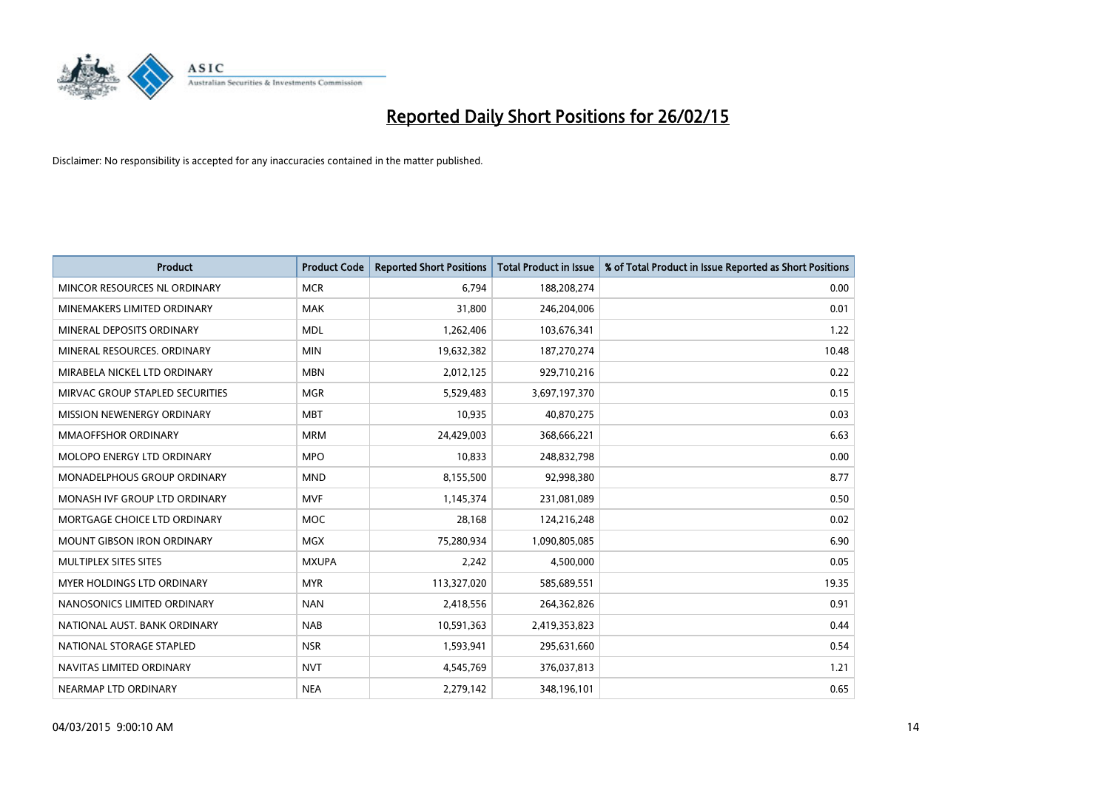

| <b>Product</b>                  | <b>Product Code</b> | <b>Reported Short Positions</b> | <b>Total Product in Issue</b> | % of Total Product in Issue Reported as Short Positions |
|---------------------------------|---------------------|---------------------------------|-------------------------------|---------------------------------------------------------|
| MINCOR RESOURCES NL ORDINARY    | <b>MCR</b>          | 6,794                           | 188,208,274                   | 0.00                                                    |
| MINEMAKERS LIMITED ORDINARY     | <b>MAK</b>          | 31,800                          | 246,204,006                   | 0.01                                                    |
| MINERAL DEPOSITS ORDINARY       | <b>MDL</b>          | 1,262,406                       | 103,676,341                   | 1.22                                                    |
| MINERAL RESOURCES, ORDINARY     | <b>MIN</b>          | 19,632,382                      | 187,270,274                   | 10.48                                                   |
| MIRABELA NICKEL LTD ORDINARY    | <b>MBN</b>          | 2,012,125                       | 929,710,216                   | 0.22                                                    |
| MIRVAC GROUP STAPLED SECURITIES | <b>MGR</b>          | 5,529,483                       | 3,697,197,370                 | 0.15                                                    |
| MISSION NEWENERGY ORDINARY      | <b>MBT</b>          | 10,935                          | 40,870,275                    | 0.03                                                    |
| <b>MMAOFFSHOR ORDINARY</b>      | <b>MRM</b>          | 24,429,003                      | 368,666,221                   | 6.63                                                    |
| MOLOPO ENERGY LTD ORDINARY      | <b>MPO</b>          | 10,833                          | 248,832,798                   | 0.00                                                    |
| MONADELPHOUS GROUP ORDINARY     | <b>MND</b>          | 8,155,500                       | 92,998,380                    | 8.77                                                    |
| MONASH IVF GROUP LTD ORDINARY   | <b>MVF</b>          | 1,145,374                       | 231,081,089                   | 0.50                                                    |
| MORTGAGE CHOICE LTD ORDINARY    | <b>MOC</b>          | 28,168                          | 124,216,248                   | 0.02                                                    |
| MOUNT GIBSON IRON ORDINARY      | <b>MGX</b>          | 75,280,934                      | 1,090,805,085                 | 6.90                                                    |
| MULTIPLEX SITES SITES           | <b>MXUPA</b>        | 2,242                           | 4,500,000                     | 0.05                                                    |
| MYER HOLDINGS LTD ORDINARY      | <b>MYR</b>          | 113,327,020                     | 585,689,551                   | 19.35                                                   |
| NANOSONICS LIMITED ORDINARY     | <b>NAN</b>          | 2,418,556                       | 264,362,826                   | 0.91                                                    |
| NATIONAL AUST. BANK ORDINARY    | <b>NAB</b>          | 10,591,363                      | 2,419,353,823                 | 0.44                                                    |
| NATIONAL STORAGE STAPLED        | <b>NSR</b>          | 1,593,941                       | 295,631,660                   | 0.54                                                    |
| NAVITAS LIMITED ORDINARY        | <b>NVT</b>          | 4,545,769                       | 376,037,813                   | 1.21                                                    |
| NEARMAP LTD ORDINARY            | <b>NEA</b>          | 2,279,142                       | 348,196,101                   | 0.65                                                    |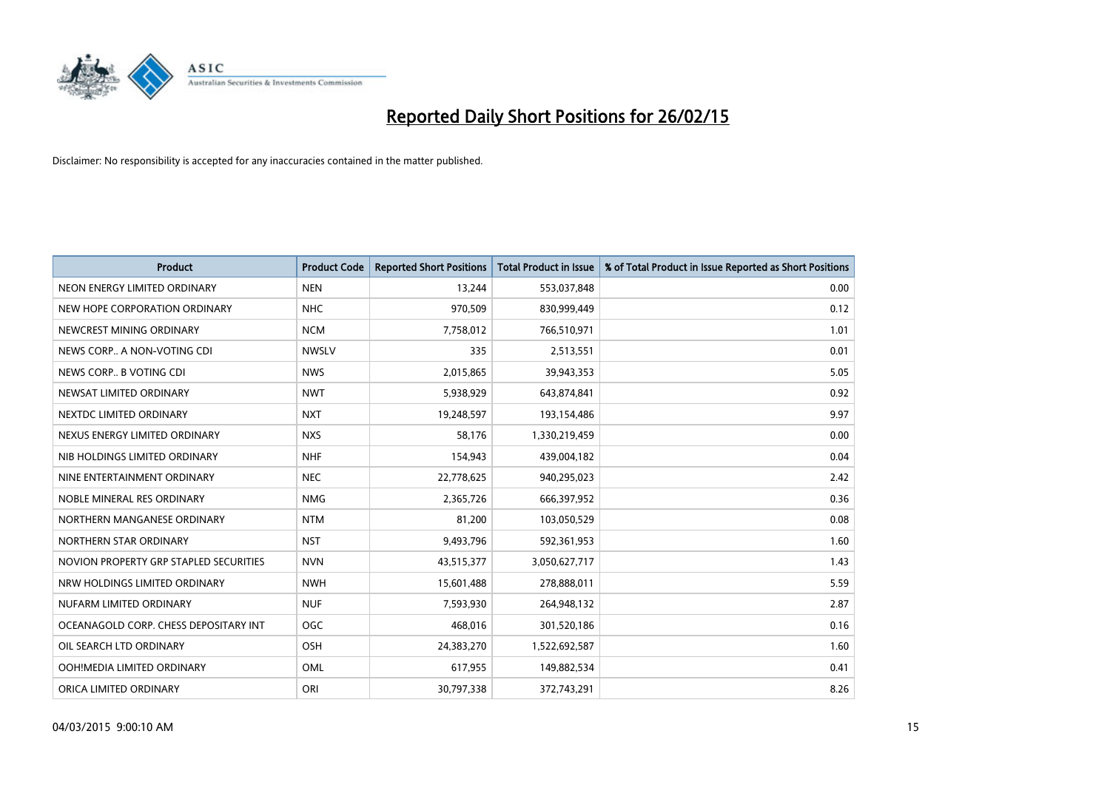

| <b>Product</b>                         | <b>Product Code</b> | <b>Reported Short Positions</b> | <b>Total Product in Issue</b> | % of Total Product in Issue Reported as Short Positions |
|----------------------------------------|---------------------|---------------------------------|-------------------------------|---------------------------------------------------------|
| NEON ENERGY LIMITED ORDINARY           | <b>NEN</b>          | 13,244                          | 553,037,848                   | 0.00                                                    |
| NEW HOPE CORPORATION ORDINARY          | <b>NHC</b>          | 970,509                         | 830,999,449                   | 0.12                                                    |
| NEWCREST MINING ORDINARY               | <b>NCM</b>          | 7,758,012                       | 766,510,971                   | 1.01                                                    |
| NEWS CORP A NON-VOTING CDI             | <b>NWSLV</b>        | 335                             | 2,513,551                     | 0.01                                                    |
| NEWS CORP B VOTING CDI                 | <b>NWS</b>          | 2,015,865                       | 39,943,353                    | 5.05                                                    |
| NEWSAT LIMITED ORDINARY                | <b>NWT</b>          | 5,938,929                       | 643,874,841                   | 0.92                                                    |
| NEXTDC LIMITED ORDINARY                | <b>NXT</b>          | 19,248,597                      | 193,154,486                   | 9.97                                                    |
| NEXUS ENERGY LIMITED ORDINARY          | <b>NXS</b>          | 58,176                          | 1,330,219,459                 | 0.00                                                    |
| NIB HOLDINGS LIMITED ORDINARY          | <b>NHF</b>          | 154,943                         | 439,004,182                   | 0.04                                                    |
| NINE ENTERTAINMENT ORDINARY            | <b>NEC</b>          | 22,778,625                      | 940,295,023                   | 2.42                                                    |
| NOBLE MINERAL RES ORDINARY             | <b>NMG</b>          | 2,365,726                       | 666,397,952                   | 0.36                                                    |
| NORTHERN MANGANESE ORDINARY            | <b>NTM</b>          | 81,200                          | 103,050,529                   | 0.08                                                    |
| NORTHERN STAR ORDINARY                 | <b>NST</b>          | 9,493,796                       | 592,361,953                   | 1.60                                                    |
| NOVION PROPERTY GRP STAPLED SECURITIES | <b>NVN</b>          | 43,515,377                      | 3,050,627,717                 | 1.43                                                    |
| NRW HOLDINGS LIMITED ORDINARY          | <b>NWH</b>          | 15,601,488                      | 278,888,011                   | 5.59                                                    |
| NUFARM LIMITED ORDINARY                | <b>NUF</b>          | 7,593,930                       | 264,948,132                   | 2.87                                                    |
| OCEANAGOLD CORP. CHESS DEPOSITARY INT  | <b>OGC</b>          | 468,016                         | 301,520,186                   | 0.16                                                    |
| OIL SEARCH LTD ORDINARY                | OSH                 | 24,383,270                      | 1,522,692,587                 | 1.60                                                    |
| OOH!MEDIA LIMITED ORDINARY             | <b>OML</b>          | 617,955                         | 149,882,534                   | 0.41                                                    |
| ORICA LIMITED ORDINARY                 | ORI                 | 30,797,338                      | 372,743,291                   | 8.26                                                    |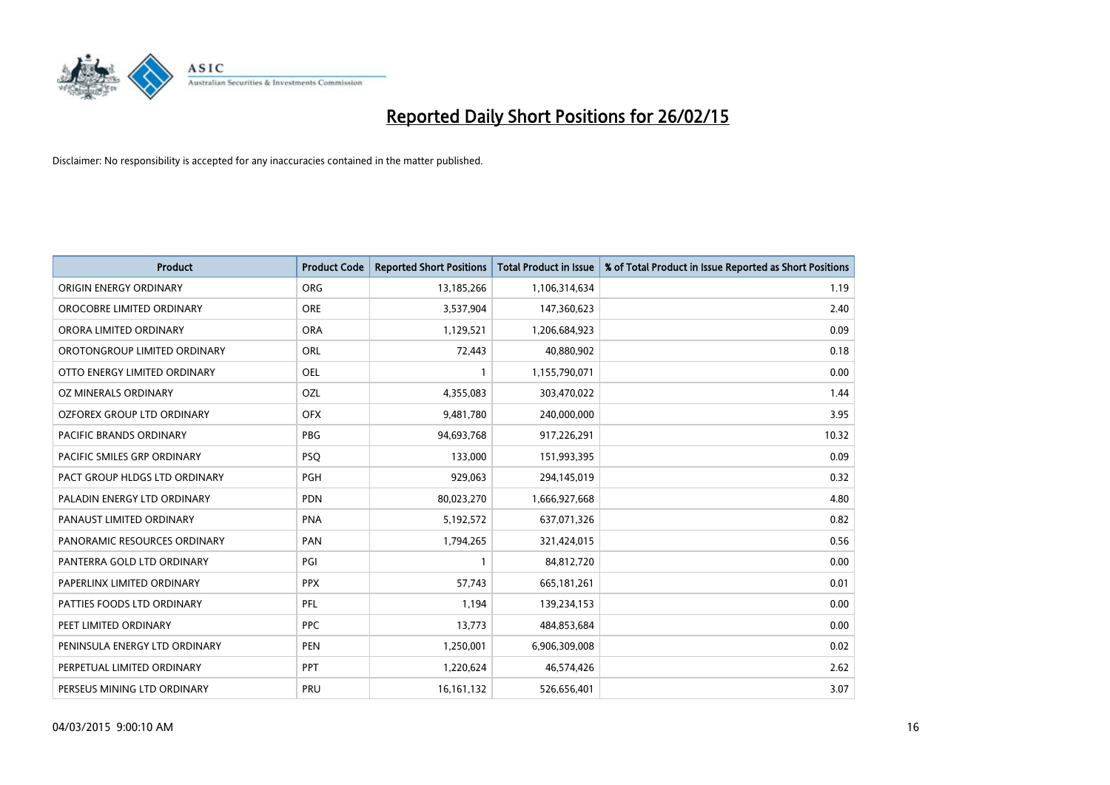

| <b>Product</b>                    | <b>Product Code</b> | <b>Reported Short Positions</b> | <b>Total Product in Issue</b> | % of Total Product in Issue Reported as Short Positions |
|-----------------------------------|---------------------|---------------------------------|-------------------------------|---------------------------------------------------------|
| ORIGIN ENERGY ORDINARY            | <b>ORG</b>          | 13,185,266                      | 1,106,314,634                 | 1.19                                                    |
| OROCOBRE LIMITED ORDINARY         | <b>ORE</b>          | 3,537,904                       | 147,360,623                   | 2.40                                                    |
| ORORA LIMITED ORDINARY            | <b>ORA</b>          | 1,129,521                       | 1,206,684,923                 | 0.09                                                    |
| OROTONGROUP LIMITED ORDINARY      | ORL                 | 72,443                          | 40,880,902                    | 0.18                                                    |
| OTTO ENERGY LIMITED ORDINARY      | <b>OEL</b>          | 1                               | 1,155,790,071                 | 0.00                                                    |
| OZ MINERALS ORDINARY              | OZL                 | 4,355,083                       | 303,470,022                   | 1.44                                                    |
| <b>OZFOREX GROUP LTD ORDINARY</b> | <b>OFX</b>          | 9,481,780                       | 240,000,000                   | 3.95                                                    |
| PACIFIC BRANDS ORDINARY           | <b>PBG</b>          | 94,693,768                      | 917,226,291                   | 10.32                                                   |
| PACIFIC SMILES GRP ORDINARY       | <b>PSQ</b>          | 133,000                         | 151,993,395                   | 0.09                                                    |
| PACT GROUP HLDGS LTD ORDINARY     | <b>PGH</b>          | 929,063                         | 294,145,019                   | 0.32                                                    |
| PALADIN ENERGY LTD ORDINARY       | <b>PDN</b>          | 80,023,270                      | 1,666,927,668                 | 4.80                                                    |
| PANAUST LIMITED ORDINARY          | <b>PNA</b>          | 5,192,572                       | 637,071,326                   | 0.82                                                    |
| PANORAMIC RESOURCES ORDINARY      | PAN                 | 1,794,265                       | 321,424,015                   | 0.56                                                    |
| PANTERRA GOLD LTD ORDINARY        | PGI                 | 1                               | 84,812,720                    | 0.00                                                    |
| PAPERLINX LIMITED ORDINARY        | <b>PPX</b>          | 57,743                          | 665, 181, 261                 | 0.01                                                    |
| PATTIES FOODS LTD ORDINARY        | PFL                 | 1,194                           | 139,234,153                   | 0.00                                                    |
| PEET LIMITED ORDINARY             | <b>PPC</b>          | 13,773                          | 484,853,684                   | 0.00                                                    |
| PENINSULA ENERGY LTD ORDINARY     | <b>PEN</b>          | 1,250,001                       | 6,906,309,008                 | 0.02                                                    |
| PERPETUAL LIMITED ORDINARY        | <b>PPT</b>          | 1,220,624                       | 46,574,426                    | 2.62                                                    |
| PERSEUS MINING LTD ORDINARY       | PRU                 | 16, 161, 132                    | 526,656,401                   | 3.07                                                    |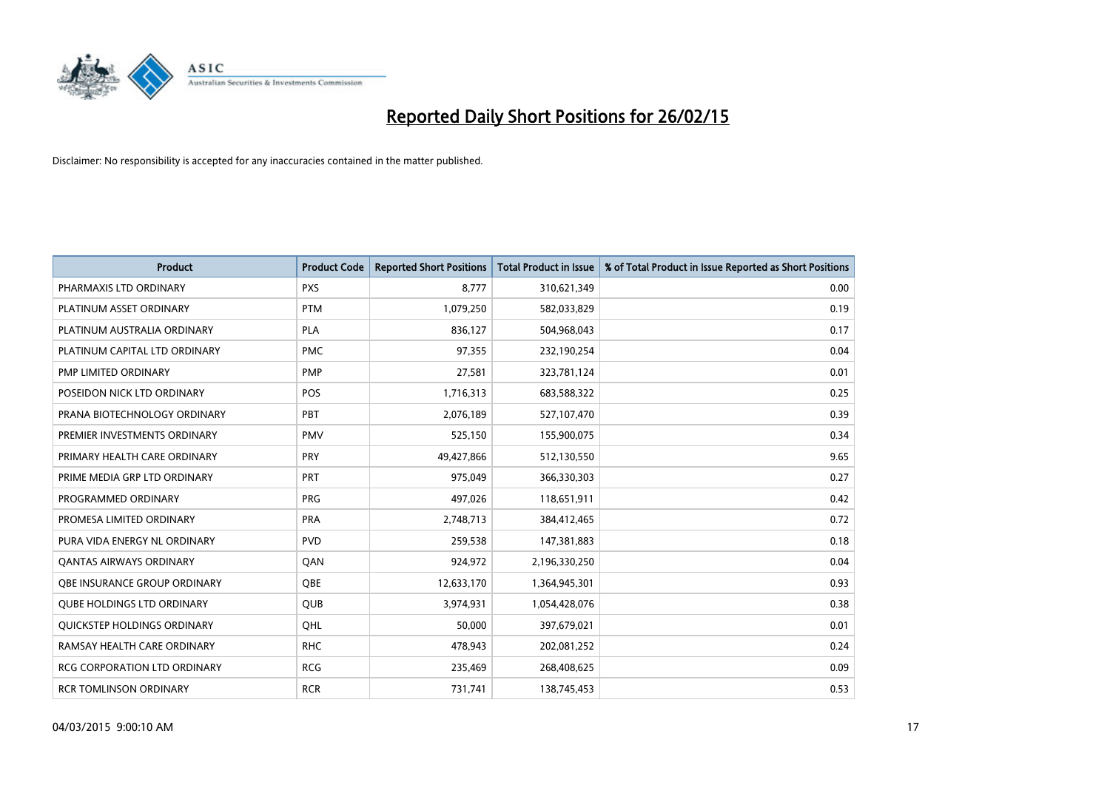

| <b>Product</b>                      | <b>Product Code</b> | <b>Reported Short Positions</b> | <b>Total Product in Issue</b> | % of Total Product in Issue Reported as Short Positions |
|-------------------------------------|---------------------|---------------------------------|-------------------------------|---------------------------------------------------------|
| PHARMAXIS LTD ORDINARY              | <b>PXS</b>          | 8,777                           | 310,621,349                   | 0.00                                                    |
| PLATINUM ASSET ORDINARY             | <b>PTM</b>          | 1,079,250                       | 582,033,829                   | 0.19                                                    |
| PLATINUM AUSTRALIA ORDINARY         | <b>PLA</b>          | 836,127                         | 504,968,043                   | 0.17                                                    |
| PLATINUM CAPITAL LTD ORDINARY       | <b>PMC</b>          | 97,355                          | 232,190,254                   | 0.04                                                    |
| PMP LIMITED ORDINARY                | <b>PMP</b>          | 27,581                          | 323,781,124                   | 0.01                                                    |
| POSEIDON NICK LTD ORDINARY          | <b>POS</b>          | 1,716,313                       | 683,588,322                   | 0.25                                                    |
| PRANA BIOTECHNOLOGY ORDINARY        | PBT                 | 2,076,189                       | 527,107,470                   | 0.39                                                    |
| PREMIER INVESTMENTS ORDINARY        | <b>PMV</b>          | 525,150                         | 155,900,075                   | 0.34                                                    |
| PRIMARY HEALTH CARE ORDINARY        | <b>PRY</b>          | 49,427,866                      | 512,130,550                   | 9.65                                                    |
| PRIME MEDIA GRP LTD ORDINARY        | <b>PRT</b>          | 975,049                         | 366,330,303                   | 0.27                                                    |
| PROGRAMMED ORDINARY                 | <b>PRG</b>          | 497,026                         | 118,651,911                   | 0.42                                                    |
| PROMESA LIMITED ORDINARY            | <b>PRA</b>          | 2,748,713                       | 384,412,465                   | 0.72                                                    |
| PURA VIDA ENERGY NL ORDINARY        | <b>PVD</b>          | 259,538                         | 147,381,883                   | 0.18                                                    |
| <b>QANTAS AIRWAYS ORDINARY</b>      | QAN                 | 924,972                         | 2,196,330,250                 | 0.04                                                    |
| OBE INSURANCE GROUP ORDINARY        | <b>OBE</b>          | 12,633,170                      | 1,364,945,301                 | 0.93                                                    |
| QUBE HOLDINGS LTD ORDINARY          | QUB                 | 3,974,931                       | 1,054,428,076                 | 0.38                                                    |
| QUICKSTEP HOLDINGS ORDINARY         | QHL                 | 50,000                          | 397,679,021                   | 0.01                                                    |
| RAMSAY HEALTH CARE ORDINARY         | <b>RHC</b>          | 478,943                         | 202,081,252                   | 0.24                                                    |
| <b>RCG CORPORATION LTD ORDINARY</b> | <b>RCG</b>          | 235,469                         | 268,408,625                   | 0.09                                                    |
| <b>RCR TOMLINSON ORDINARY</b>       | <b>RCR</b>          | 731,741                         | 138,745,453                   | 0.53                                                    |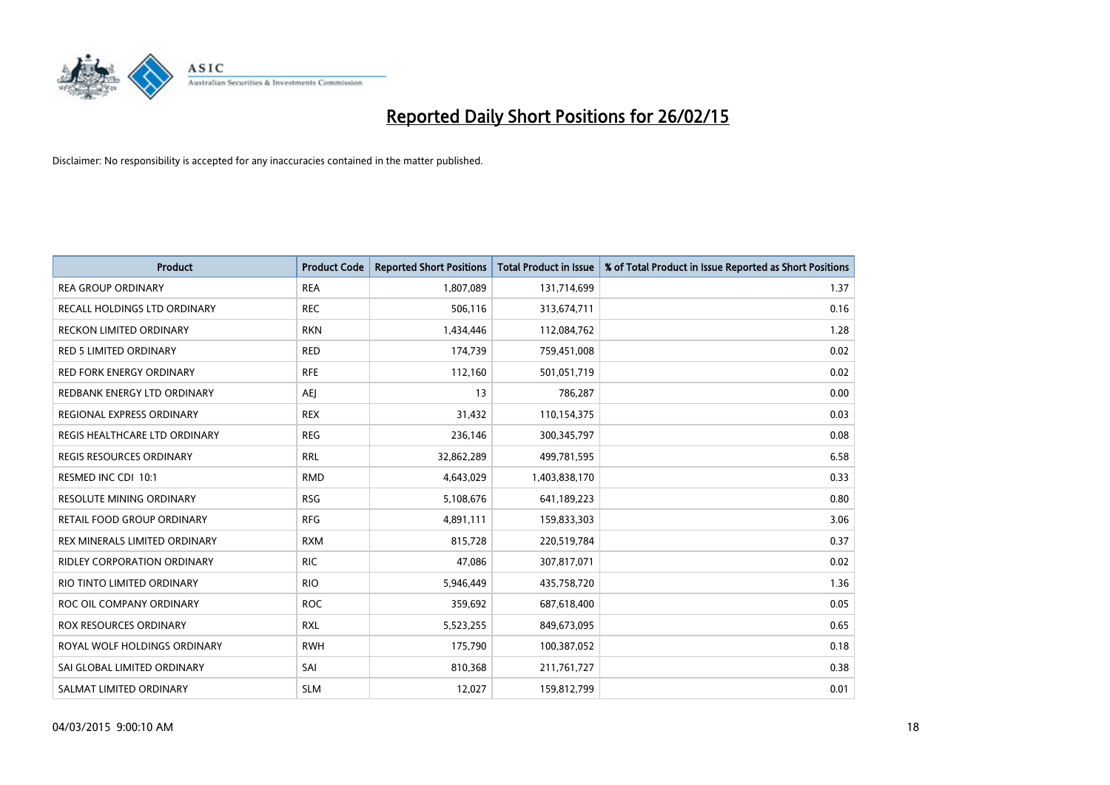

| <b>Product</b>                     | <b>Product Code</b> | <b>Reported Short Positions</b> | <b>Total Product in Issue</b> | % of Total Product in Issue Reported as Short Positions |
|------------------------------------|---------------------|---------------------------------|-------------------------------|---------------------------------------------------------|
| <b>REA GROUP ORDINARY</b>          | <b>REA</b>          | 1,807,089                       | 131,714,699                   | 1.37                                                    |
| RECALL HOLDINGS LTD ORDINARY       | <b>REC</b>          | 506,116                         | 313,674,711                   | 0.16                                                    |
| RECKON LIMITED ORDINARY            | <b>RKN</b>          | 1,434,446                       | 112,084,762                   | 1.28                                                    |
| RED 5 LIMITED ORDINARY             | <b>RED</b>          | 174,739                         | 759,451,008                   | 0.02                                                    |
| <b>RED FORK ENERGY ORDINARY</b>    | <b>RFE</b>          | 112,160                         | 501,051,719                   | 0.02                                                    |
| REDBANK ENERGY LTD ORDINARY        | <b>AEJ</b>          | 13                              | 786,287                       | 0.00                                                    |
| REGIONAL EXPRESS ORDINARY          | <b>REX</b>          | 31,432                          | 110,154,375                   | 0.03                                                    |
| REGIS HEALTHCARE LTD ORDINARY      | <b>REG</b>          | 236,146                         | 300, 345, 797                 | 0.08                                                    |
| <b>REGIS RESOURCES ORDINARY</b>    | <b>RRL</b>          | 32,862,289                      | 499,781,595                   | 6.58                                                    |
| RESMED INC CDI 10:1                | <b>RMD</b>          | 4,643,029                       | 1,403,838,170                 | 0.33                                                    |
| RESOLUTE MINING ORDINARY           | <b>RSG</b>          | 5,108,676                       | 641,189,223                   | 0.80                                                    |
| <b>RETAIL FOOD GROUP ORDINARY</b>  | <b>RFG</b>          | 4,891,111                       | 159,833,303                   | 3.06                                                    |
| REX MINERALS LIMITED ORDINARY      | <b>RXM</b>          | 815,728                         | 220,519,784                   | 0.37                                                    |
| <b>RIDLEY CORPORATION ORDINARY</b> | <b>RIC</b>          | 47,086                          | 307,817,071                   | 0.02                                                    |
| RIO TINTO LIMITED ORDINARY         | <b>RIO</b>          | 5,946,449                       | 435,758,720                   | 1.36                                                    |
| ROC OIL COMPANY ORDINARY           | <b>ROC</b>          | 359,692                         | 687,618,400                   | 0.05                                                    |
| ROX RESOURCES ORDINARY             | <b>RXL</b>          | 5,523,255                       | 849,673,095                   | 0.65                                                    |
| ROYAL WOLF HOLDINGS ORDINARY       | <b>RWH</b>          | 175,790                         | 100,387,052                   | 0.18                                                    |
| SAI GLOBAL LIMITED ORDINARY        | SAI                 | 810,368                         | 211,761,727                   | 0.38                                                    |
| SALMAT LIMITED ORDINARY            | <b>SLM</b>          | 12,027                          | 159,812,799                   | 0.01                                                    |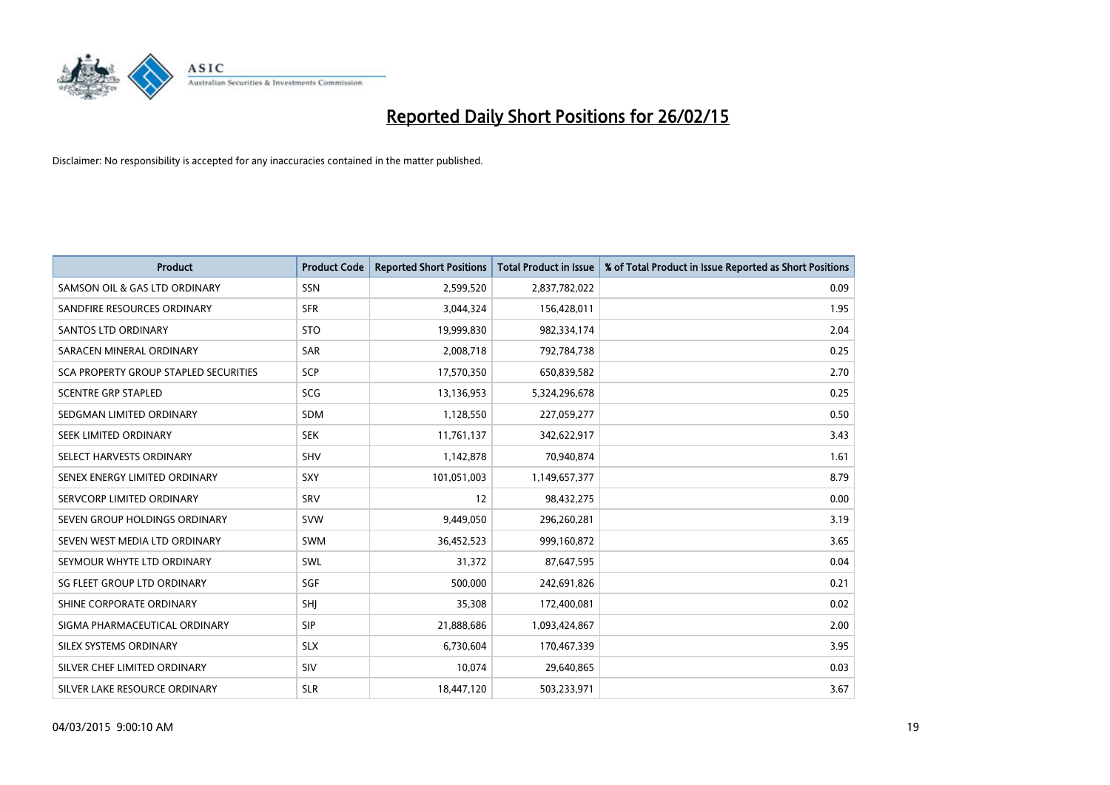

| <b>Product</b>                        | <b>Product Code</b> | <b>Reported Short Positions</b> | <b>Total Product in Issue</b> | % of Total Product in Issue Reported as Short Positions |
|---------------------------------------|---------------------|---------------------------------|-------------------------------|---------------------------------------------------------|
| SAMSON OIL & GAS LTD ORDINARY         | SSN                 | 2,599,520                       | 2,837,782,022                 | 0.09                                                    |
| SANDFIRE RESOURCES ORDINARY           | <b>SFR</b>          | 3,044,324                       | 156,428,011                   | 1.95                                                    |
| <b>SANTOS LTD ORDINARY</b>            | <b>STO</b>          | 19,999,830                      | 982,334,174                   | 2.04                                                    |
| SARACEN MINERAL ORDINARY              | <b>SAR</b>          | 2,008,718                       | 792,784,738                   | 0.25                                                    |
| SCA PROPERTY GROUP STAPLED SECURITIES | SCP                 | 17,570,350                      | 650,839,582                   | 2.70                                                    |
| <b>SCENTRE GRP STAPLED</b>            | <b>SCG</b>          | 13,136,953                      | 5,324,296,678                 | 0.25                                                    |
| SEDGMAN LIMITED ORDINARY              | <b>SDM</b>          | 1,128,550                       | 227,059,277                   | 0.50                                                    |
| SEEK LIMITED ORDINARY                 | <b>SEK</b>          | 11,761,137                      | 342,622,917                   | 3.43                                                    |
| SELECT HARVESTS ORDINARY              | <b>SHV</b>          | 1,142,878                       | 70,940,874                    | 1.61                                                    |
| SENEX ENERGY LIMITED ORDINARY         | <b>SXY</b>          | 101,051,003                     | 1,149,657,377                 | 8.79                                                    |
| SERVCORP LIMITED ORDINARY             | SRV                 | 12                              | 98,432,275                    | 0.00                                                    |
| SEVEN GROUP HOLDINGS ORDINARY         | <b>SVW</b>          | 9,449,050                       | 296,260,281                   | 3.19                                                    |
| SEVEN WEST MEDIA LTD ORDINARY         | <b>SWM</b>          | 36,452,523                      | 999,160,872                   | 3.65                                                    |
| SEYMOUR WHYTE LTD ORDINARY            | SWL                 | 31,372                          | 87,647,595                    | 0.04                                                    |
| SG FLEET GROUP LTD ORDINARY           | SGF                 | 500,000                         | 242,691,826                   | 0.21                                                    |
| SHINE CORPORATE ORDINARY              | SHI                 | 35,308                          | 172,400,081                   | 0.02                                                    |
| SIGMA PHARMACEUTICAL ORDINARY         | <b>SIP</b>          | 21,888,686                      | 1,093,424,867                 | 2.00                                                    |
| SILEX SYSTEMS ORDINARY                | <b>SLX</b>          | 6,730,604                       | 170,467,339                   | 3.95                                                    |
| SILVER CHEF LIMITED ORDINARY          | <b>SIV</b>          | 10,074                          | 29,640,865                    | 0.03                                                    |
| SILVER LAKE RESOURCE ORDINARY         | <b>SLR</b>          | 18,447,120                      | 503,233,971                   | 3.67                                                    |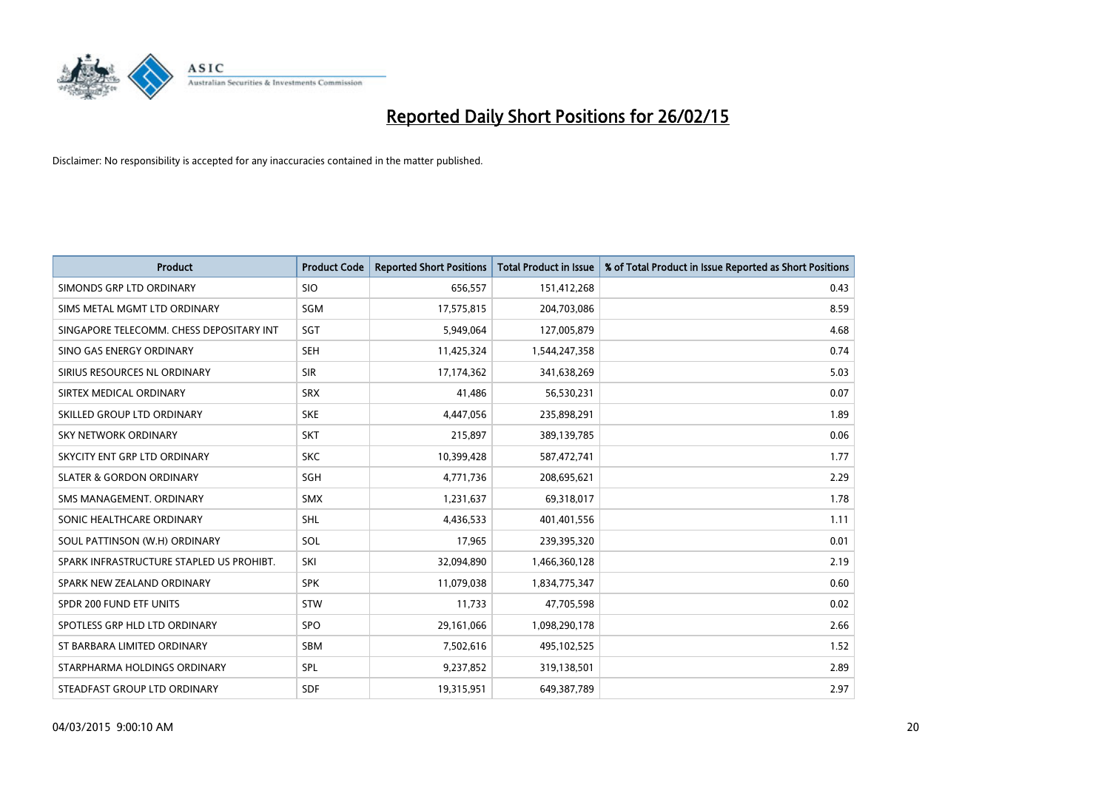

| <b>Product</b>                           | <b>Product Code</b> | <b>Reported Short Positions</b> | <b>Total Product in Issue</b> | % of Total Product in Issue Reported as Short Positions |
|------------------------------------------|---------------------|---------------------------------|-------------------------------|---------------------------------------------------------|
| SIMONDS GRP LTD ORDINARY                 | <b>SIO</b>          | 656,557                         | 151,412,268                   | 0.43                                                    |
| SIMS METAL MGMT LTD ORDINARY             | SGM                 | 17,575,815                      | 204,703,086                   | 8.59                                                    |
| SINGAPORE TELECOMM. CHESS DEPOSITARY INT | SGT                 | 5,949,064                       | 127,005,879                   | 4.68                                                    |
| SINO GAS ENERGY ORDINARY                 | <b>SEH</b>          | 11,425,324                      | 1,544,247,358                 | 0.74                                                    |
| SIRIUS RESOURCES NL ORDINARY             | <b>SIR</b>          | 17,174,362                      | 341,638,269                   | 5.03                                                    |
| SIRTEX MEDICAL ORDINARY                  | <b>SRX</b>          | 41,486                          | 56,530,231                    | 0.07                                                    |
| SKILLED GROUP LTD ORDINARY               | <b>SKE</b>          | 4,447,056                       | 235,898,291                   | 1.89                                                    |
| SKY NETWORK ORDINARY                     | <b>SKT</b>          | 215,897                         | 389,139,785                   | 0.06                                                    |
| SKYCITY ENT GRP LTD ORDINARY             | <b>SKC</b>          | 10,399,428                      | 587,472,741                   | 1.77                                                    |
| <b>SLATER &amp; GORDON ORDINARY</b>      | SGH                 | 4,771,736                       | 208,695,621                   | 2.29                                                    |
| SMS MANAGEMENT. ORDINARY                 | <b>SMX</b>          | 1,231,637                       | 69,318,017                    | 1.78                                                    |
| SONIC HEALTHCARE ORDINARY                | <b>SHL</b>          | 4,436,533                       | 401,401,556                   | 1.11                                                    |
| SOUL PATTINSON (W.H) ORDINARY            | SOL                 | 17,965                          | 239,395,320                   | 0.01                                                    |
| SPARK INFRASTRUCTURE STAPLED US PROHIBT. | SKI                 | 32,094,890                      | 1,466,360,128                 | 2.19                                                    |
| SPARK NEW ZEALAND ORDINARY               | <b>SPK</b>          | 11,079,038                      | 1,834,775,347                 | 0.60                                                    |
| SPDR 200 FUND ETF UNITS                  | <b>STW</b>          | 11,733                          | 47,705,598                    | 0.02                                                    |
| SPOTLESS GRP HLD LTD ORDINARY            | <b>SPO</b>          | 29,161,066                      | 1,098,290,178                 | 2.66                                                    |
| ST BARBARA LIMITED ORDINARY              | <b>SBM</b>          | 7,502,616                       | 495,102,525                   | 1.52                                                    |
| STARPHARMA HOLDINGS ORDINARY             | SPL                 | 9,237,852                       | 319,138,501                   | 2.89                                                    |
| STEADFAST GROUP LTD ORDINARY             | <b>SDF</b>          | 19,315,951                      | 649,387,789                   | 2.97                                                    |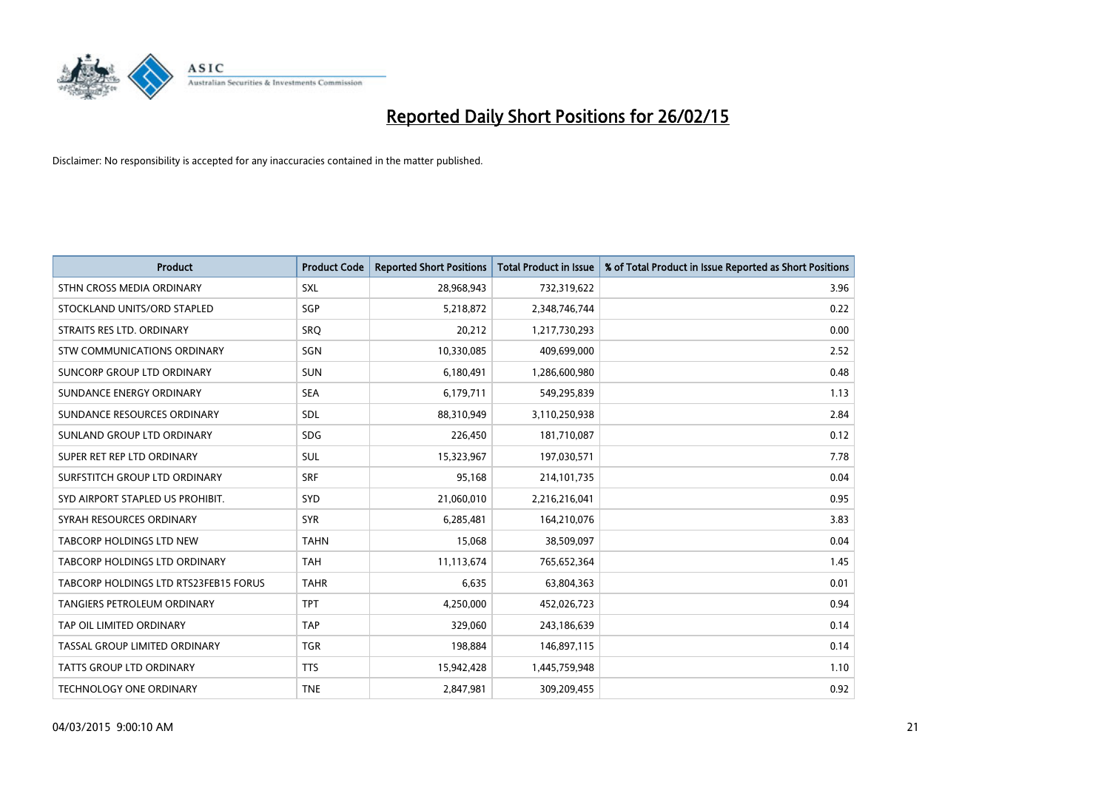

| <b>Product</b>                        | <b>Product Code</b> | <b>Reported Short Positions</b> | <b>Total Product in Issue</b> | % of Total Product in Issue Reported as Short Positions |
|---------------------------------------|---------------------|---------------------------------|-------------------------------|---------------------------------------------------------|
| STHN CROSS MEDIA ORDINARY             | <b>SXL</b>          | 28,968,943                      | 732,319,622                   | 3.96                                                    |
| STOCKLAND UNITS/ORD STAPLED           | SGP                 | 5,218,872                       | 2,348,746,744                 | 0.22                                                    |
| STRAITS RES LTD. ORDINARY             | <b>SRQ</b>          | 20,212                          | 1,217,730,293                 | 0.00                                                    |
| STW COMMUNICATIONS ORDINARY           | <b>SGN</b>          | 10,330,085                      | 409,699,000                   | 2.52                                                    |
| SUNCORP GROUP LTD ORDINARY            | <b>SUN</b>          | 6,180,491                       | 1,286,600,980                 | 0.48                                                    |
| SUNDANCE ENERGY ORDINARY              | <b>SEA</b>          | 6,179,711                       | 549,295,839                   | 1.13                                                    |
| SUNDANCE RESOURCES ORDINARY           | <b>SDL</b>          | 88,310,949                      | 3,110,250,938                 | 2.84                                                    |
| SUNLAND GROUP LTD ORDINARY            | <b>SDG</b>          | 226,450                         | 181,710,087                   | 0.12                                                    |
| SUPER RET REP LTD ORDINARY            | <b>SUL</b>          | 15,323,967                      | 197,030,571                   | 7.78                                                    |
| SURFSTITCH GROUP LTD ORDINARY         | <b>SRF</b>          | 95,168                          | 214, 101, 735                 | 0.04                                                    |
| SYD AIRPORT STAPLED US PROHIBIT.      | SYD                 | 21,060,010                      | 2,216,216,041                 | 0.95                                                    |
| SYRAH RESOURCES ORDINARY              | <b>SYR</b>          | 6,285,481                       | 164,210,076                   | 3.83                                                    |
| TABCORP HOLDINGS LTD NEW              | <b>TAHN</b>         | 15,068                          | 38,509,097                    | 0.04                                                    |
| TABCORP HOLDINGS LTD ORDINARY         | <b>TAH</b>          | 11,113,674                      | 765,652,364                   | 1.45                                                    |
| TABCORP HOLDINGS LTD RTS23FEB15 FORUS | <b>TAHR</b>         | 6,635                           | 63,804,363                    | 0.01                                                    |
| TANGIERS PETROLEUM ORDINARY           | <b>TPT</b>          | 4,250,000                       | 452,026,723                   | 0.94                                                    |
| TAP OIL LIMITED ORDINARY              | <b>TAP</b>          | 329,060                         | 243,186,639                   | 0.14                                                    |
| TASSAL GROUP LIMITED ORDINARY         | <b>TGR</b>          | 198,884                         | 146,897,115                   | 0.14                                                    |
| <b>TATTS GROUP LTD ORDINARY</b>       | <b>TTS</b>          | 15,942,428                      | 1,445,759,948                 | 1.10                                                    |
| <b>TECHNOLOGY ONE ORDINARY</b>        | <b>TNE</b>          | 2,847,981                       | 309,209,455                   | 0.92                                                    |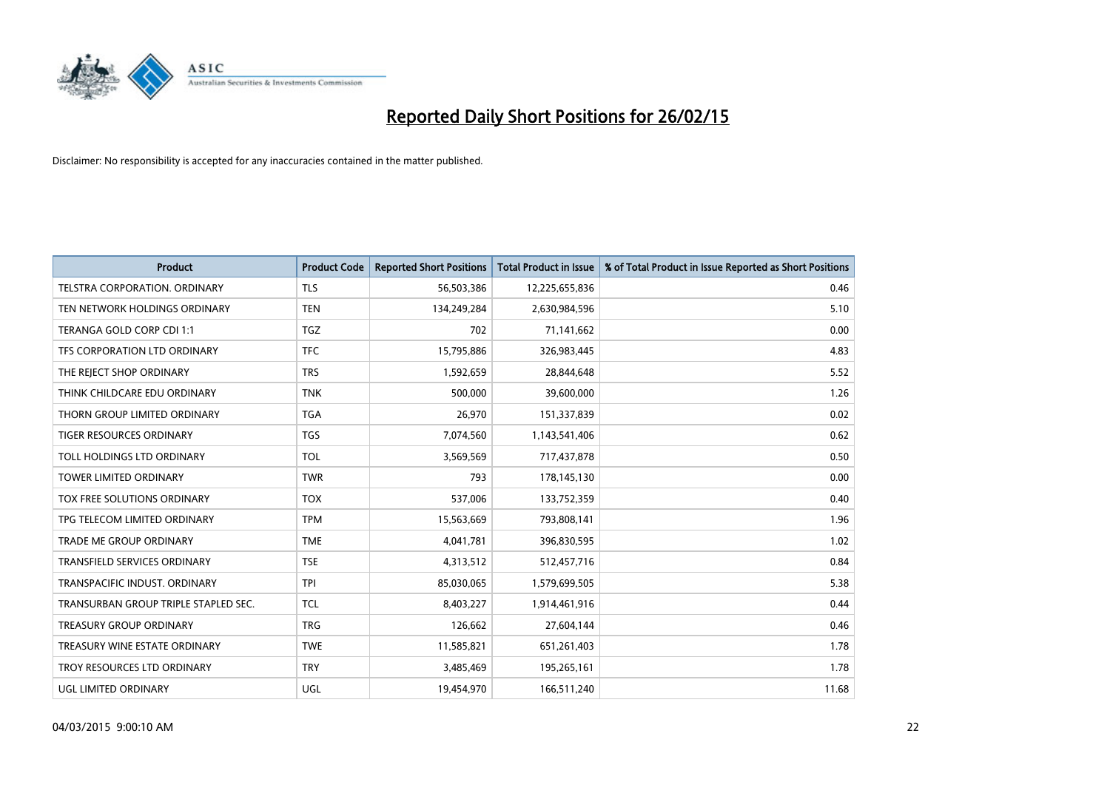

| <b>Product</b>                       | <b>Product Code</b> | <b>Reported Short Positions</b> | <b>Total Product in Issue</b> | % of Total Product in Issue Reported as Short Positions |
|--------------------------------------|---------------------|---------------------------------|-------------------------------|---------------------------------------------------------|
| <b>TELSTRA CORPORATION, ORDINARY</b> | <b>TLS</b>          | 56,503,386                      | 12,225,655,836                | 0.46                                                    |
| TEN NETWORK HOLDINGS ORDINARY        | <b>TEN</b>          | 134,249,284                     | 2,630,984,596                 | 5.10                                                    |
| TERANGA GOLD CORP CDI 1:1            | <b>TGZ</b>          | 702                             | 71,141,662                    | 0.00                                                    |
| TFS CORPORATION LTD ORDINARY         | <b>TFC</b>          | 15,795,886                      | 326,983,445                   | 4.83                                                    |
| THE REJECT SHOP ORDINARY             | <b>TRS</b>          | 1,592,659                       | 28,844,648                    | 5.52                                                    |
| THINK CHILDCARE EDU ORDINARY         | <b>TNK</b>          | 500,000                         | 39,600,000                    | 1.26                                                    |
| THORN GROUP LIMITED ORDINARY         | <b>TGA</b>          | 26,970                          | 151,337,839                   | 0.02                                                    |
| TIGER RESOURCES ORDINARY             | <b>TGS</b>          | 7,074,560                       | 1,143,541,406                 | 0.62                                                    |
| TOLL HOLDINGS LTD ORDINARY           | <b>TOL</b>          | 3,569,569                       | 717,437,878                   | 0.50                                                    |
| <b>TOWER LIMITED ORDINARY</b>        | <b>TWR</b>          | 793                             | 178,145,130                   | 0.00                                                    |
| TOX FREE SOLUTIONS ORDINARY          | <b>TOX</b>          | 537,006                         | 133,752,359                   | 0.40                                                    |
| TPG TELECOM LIMITED ORDINARY         | <b>TPM</b>          | 15,563,669                      | 793,808,141                   | 1.96                                                    |
| <b>TRADE ME GROUP ORDINARY</b>       | <b>TME</b>          | 4,041,781                       | 396,830,595                   | 1.02                                                    |
| <b>TRANSFIELD SERVICES ORDINARY</b>  | <b>TSE</b>          | 4,313,512                       | 512,457,716                   | 0.84                                                    |
| TRANSPACIFIC INDUST, ORDINARY        | <b>TPI</b>          | 85,030,065                      | 1,579,699,505                 | 5.38                                                    |
| TRANSURBAN GROUP TRIPLE STAPLED SEC. | <b>TCL</b>          | 8,403,227                       | 1,914,461,916                 | 0.44                                                    |
| <b>TREASURY GROUP ORDINARY</b>       | <b>TRG</b>          | 126,662                         | 27,604,144                    | 0.46                                                    |
| TREASURY WINE ESTATE ORDINARY        | <b>TWE</b>          | 11,585,821                      | 651,261,403                   | 1.78                                                    |
| TROY RESOURCES LTD ORDINARY          | <b>TRY</b>          | 3,485,469                       | 195,265,161                   | 1.78                                                    |
| UGL LIMITED ORDINARY                 | UGL                 | 19,454,970                      | 166,511,240                   | 11.68                                                   |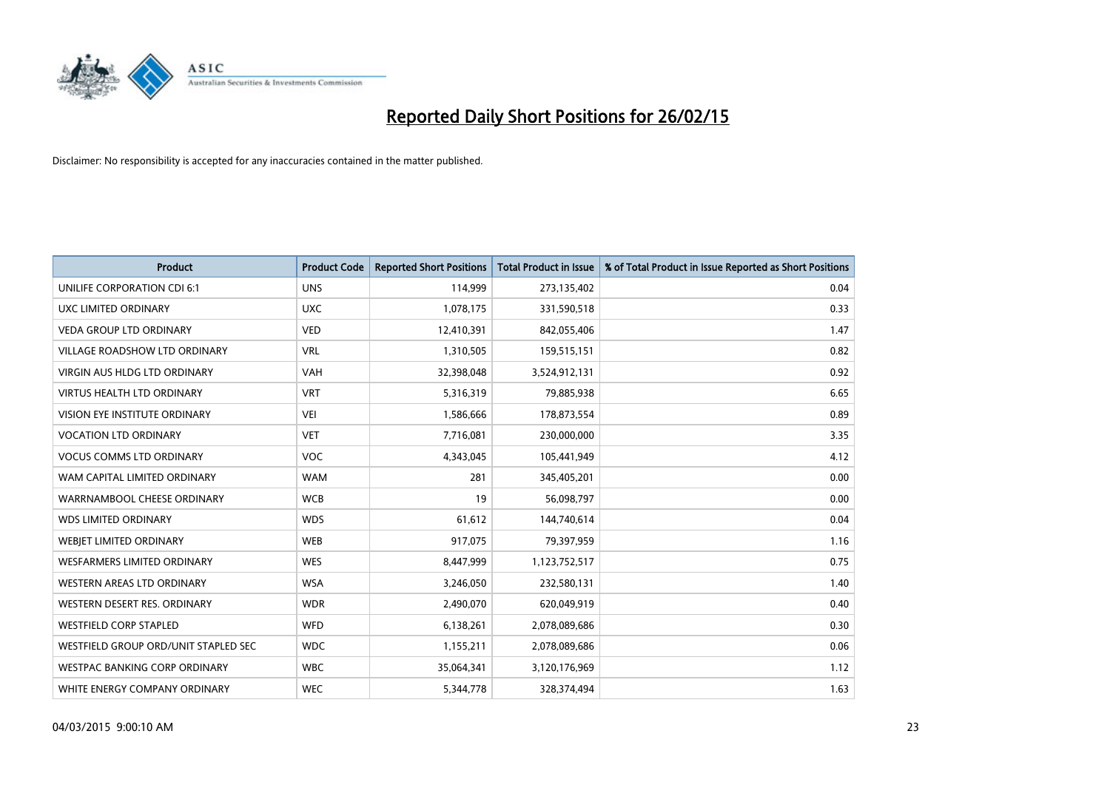

| <b>Product</b>                       | <b>Product Code</b> | <b>Reported Short Positions</b> | <b>Total Product in Issue</b> | % of Total Product in Issue Reported as Short Positions |
|--------------------------------------|---------------------|---------------------------------|-------------------------------|---------------------------------------------------------|
| UNILIFE CORPORATION CDI 6:1          | <b>UNS</b>          | 114,999                         | 273,135,402                   | 0.04                                                    |
| UXC LIMITED ORDINARY                 | <b>UXC</b>          | 1,078,175                       | 331,590,518                   | 0.33                                                    |
| <b>VEDA GROUP LTD ORDINARY</b>       | <b>VED</b>          | 12,410,391                      | 842,055,406                   | 1.47                                                    |
| <b>VILLAGE ROADSHOW LTD ORDINARY</b> | <b>VRL</b>          | 1,310,505                       | 159,515,151                   | 0.82                                                    |
| <b>VIRGIN AUS HLDG LTD ORDINARY</b>  | <b>VAH</b>          | 32,398,048                      | 3,524,912,131                 | 0.92                                                    |
| <b>VIRTUS HEALTH LTD ORDINARY</b>    | <b>VRT</b>          | 5,316,319                       | 79,885,938                    | 6.65                                                    |
| <b>VISION EYE INSTITUTE ORDINARY</b> | <b>VEI</b>          | 1,586,666                       | 178,873,554                   | 0.89                                                    |
| <b>VOCATION LTD ORDINARY</b>         | <b>VET</b>          | 7,716,081                       | 230,000,000                   | 3.35                                                    |
| <b>VOCUS COMMS LTD ORDINARY</b>      | VOC                 | 4,343,045                       | 105,441,949                   | 4.12                                                    |
| WAM CAPITAL LIMITED ORDINARY         | <b>WAM</b>          | 281                             | 345,405,201                   | 0.00                                                    |
| WARRNAMBOOL CHEESE ORDINARY          | <b>WCB</b>          | 19                              | 56,098,797                    | 0.00                                                    |
| <b>WDS LIMITED ORDINARY</b>          | <b>WDS</b>          | 61,612                          | 144,740,614                   | 0.04                                                    |
| WEBIET LIMITED ORDINARY              | <b>WEB</b>          | 917,075                         | 79,397,959                    | 1.16                                                    |
| <b>WESFARMERS LIMITED ORDINARY</b>   | <b>WES</b>          | 8,447,999                       | 1,123,752,517                 | 0.75                                                    |
| <b>WESTERN AREAS LTD ORDINARY</b>    | <b>WSA</b>          | 3,246,050                       | 232,580,131                   | 1.40                                                    |
| WESTERN DESERT RES. ORDINARY         | <b>WDR</b>          | 2,490,070                       | 620,049,919                   | 0.40                                                    |
| <b>WESTFIELD CORP STAPLED</b>        | <b>WFD</b>          | 6,138,261                       | 2,078,089,686                 | 0.30                                                    |
| WESTFIELD GROUP ORD/UNIT STAPLED SEC | <b>WDC</b>          | 1,155,211                       | 2,078,089,686                 | 0.06                                                    |
| WESTPAC BANKING CORP ORDINARY        | <b>WBC</b>          | 35,064,341                      | 3,120,176,969                 | 1.12                                                    |
| WHITE ENERGY COMPANY ORDINARY        | <b>WEC</b>          | 5,344,778                       | 328,374,494                   | 1.63                                                    |